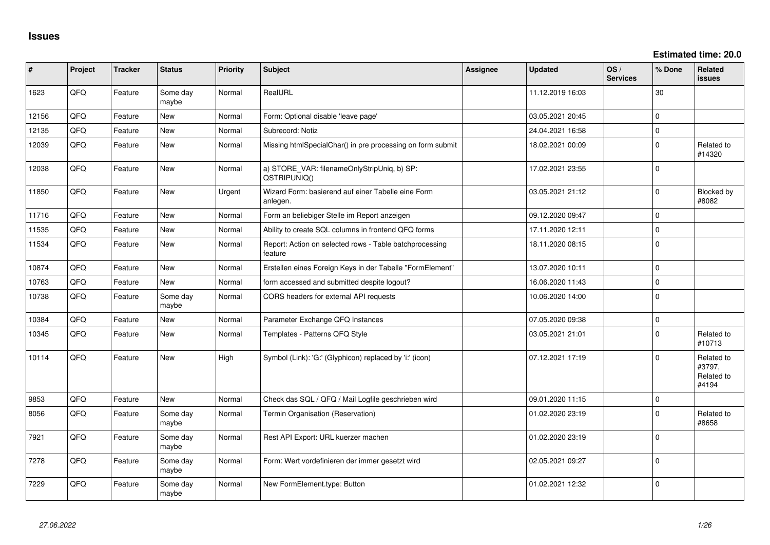**Estimated time: 20.0**

| #     | Project | <b>Tracker</b> | <b>Status</b>     | <b>Priority</b> | <b>Subject</b>                                                     | <b>Assignee</b> | <b>Updated</b>   | OS/<br><b>Services</b> | % Done       | <b>Related</b><br>issues                    |
|-------|---------|----------------|-------------------|-----------------|--------------------------------------------------------------------|-----------------|------------------|------------------------|--------------|---------------------------------------------|
| 1623  | QFQ     | Feature        | Some day<br>maybe | Normal          | RealURL                                                            |                 | 11.12.2019 16:03 |                        | 30           |                                             |
| 12156 | QFQ     | Feature        | <b>New</b>        | Normal          | Form: Optional disable 'leave page'                                |                 | 03.05.2021 20:45 |                        | $\mathbf 0$  |                                             |
| 12135 | QFQ     | Feature        | New               | Normal          | Subrecord: Notiz                                                   |                 | 24.04.2021 16:58 |                        | $\pmb{0}$    |                                             |
| 12039 | QFQ     | Feature        | New               | Normal          | Missing htmlSpecialChar() in pre processing on form submit         |                 | 18.02.2021 00:09 |                        | $\mathbf 0$  | Related to<br>#14320                        |
| 12038 | QFQ     | Feature        | <b>New</b>        | Normal          | a) STORE_VAR: filenameOnlyStripUniq, b) SP:<br>QSTRIPUNIQ()        |                 | 17.02.2021 23:55 |                        | $\mathbf 0$  |                                             |
| 11850 | QFQ     | Feature        | New               | Urgent          | Wizard Form: basierend auf einer Tabelle eine Form<br>anlegen.     |                 | 03.05.2021 21:12 |                        | $\mathbf 0$  | Blocked by<br>#8082                         |
| 11716 | QFQ     | Feature        | New               | Normal          | Form an beliebiger Stelle im Report anzeigen                       |                 | 09.12.2020 09:47 |                        | $\mathbf 0$  |                                             |
| 11535 | QFQ     | Feature        | <b>New</b>        | Normal          | Ability to create SQL columns in frontend QFQ forms                |                 | 17.11.2020 12:11 |                        | $\pmb{0}$    |                                             |
| 11534 | QFQ     | Feature        | <b>New</b>        | Normal          | Report: Action on selected rows - Table batchprocessing<br>feature |                 | 18.11.2020 08:15 |                        | $\mathbf{0}$ |                                             |
| 10874 | QFQ     | Feature        | <b>New</b>        | Normal          | Erstellen eines Foreign Keys in der Tabelle "FormElement"          |                 | 13.07.2020 10:11 |                        | $\mathbf 0$  |                                             |
| 10763 | QFQ     | Feature        | <b>New</b>        | Normal          | form accessed and submitted despite logout?                        |                 | 16.06.2020 11:43 |                        | $\mathbf{0}$ |                                             |
| 10738 | QFQ     | Feature        | Some day<br>maybe | Normal          | CORS headers for external API requests                             |                 | 10.06.2020 14:00 |                        | $\mathbf{0}$ |                                             |
| 10384 | QFQ     | Feature        | New               | Normal          | Parameter Exchange QFQ Instances                                   |                 | 07.05.2020 09:38 |                        | $\mathbf{0}$ |                                             |
| 10345 | QFQ     | Feature        | <b>New</b>        | Normal          | Templates - Patterns QFQ Style                                     |                 | 03.05.2021 21:01 |                        | $\mathbf 0$  | Related to<br>#10713                        |
| 10114 | QFQ     | Feature        | New               | High            | Symbol (Link): 'G:' (Glyphicon) replaced by 'i:' (icon)            |                 | 07.12.2021 17:19 |                        | $\mathbf 0$  | Related to<br>#3797,<br>Related to<br>#4194 |
| 9853  | QFQ     | Feature        | New               | Normal          | Check das SQL / QFQ / Mail Logfile geschrieben wird                |                 | 09.01.2020 11:15 |                        | $\mathbf 0$  |                                             |
| 8056  | QFQ     | Feature        | Some day<br>maybe | Normal          | Termin Organisation (Reservation)                                  |                 | 01.02.2020 23:19 |                        | $\Omega$     | Related to<br>#8658                         |
| 7921  | QFQ     | Feature        | Some day<br>maybe | Normal          | Rest API Export: URL kuerzer machen                                |                 | 01.02.2020 23:19 |                        | $\Omega$     |                                             |
| 7278  | QFQ     | Feature        | Some day<br>maybe | Normal          | Form: Wert vordefinieren der immer gesetzt wird                    |                 | 02.05.2021 09:27 |                        | $\mathbf{0}$ |                                             |
| 7229  | QFQ     | Feature        | Some day<br>maybe | Normal          | New FormElement.type: Button                                       |                 | 01.02.2021 12:32 |                        | $\mathbf{0}$ |                                             |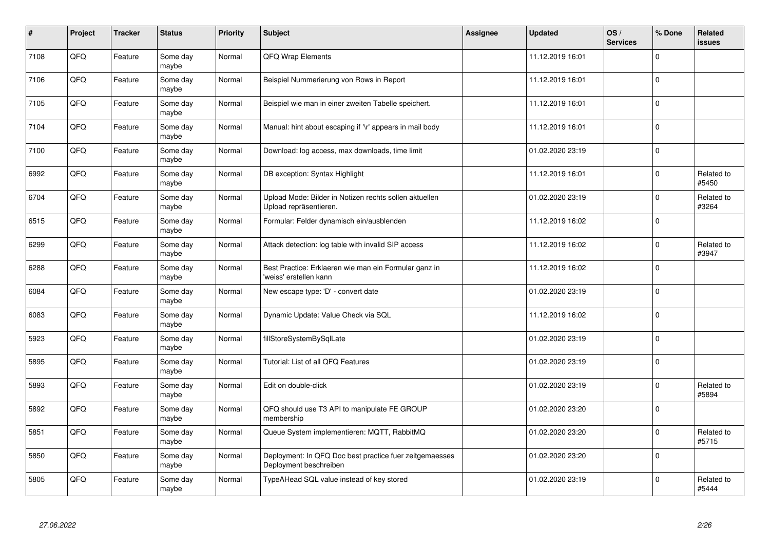| $\pmb{\sharp}$ | Project | <b>Tracker</b> | <b>Status</b>     | <b>Priority</b> | <b>Subject</b>                                                                    | Assignee | <b>Updated</b>   | OS/<br><b>Services</b> | % Done         | Related<br><b>issues</b> |
|----------------|---------|----------------|-------------------|-----------------|-----------------------------------------------------------------------------------|----------|------------------|------------------------|----------------|--------------------------|
| 7108           | QFQ     | Feature        | Some day<br>maybe | Normal          | QFQ Wrap Elements                                                                 |          | 11.12.2019 16:01 |                        | $\Omega$       |                          |
| 7106           | QFQ     | Feature        | Some day<br>maybe | Normal          | Beispiel Nummerierung von Rows in Report                                          |          | 11.12.2019 16:01 |                        | $\mathbf 0$    |                          |
| 7105           | QFQ     | Feature        | Some day<br>maybe | Normal          | Beispiel wie man in einer zweiten Tabelle speichert.                              |          | 11.12.2019 16:01 |                        | $\mathbf 0$    |                          |
| 7104           | QFQ     | Feature        | Some day<br>maybe | Normal          | Manual: hint about escaping if '\r' appears in mail body                          |          | 11.12.2019 16:01 |                        | $\Omega$       |                          |
| 7100           | QFQ     | Feature        | Some day<br>maybe | Normal          | Download: log access, max downloads, time limit                                   |          | 01.02.2020 23:19 |                        | $\overline{0}$ |                          |
| 6992           | QFQ     | Feature        | Some day<br>maybe | Normal          | DB exception: Syntax Highlight                                                    |          | 11.12.2019 16:01 |                        | $\mathbf 0$    | Related to<br>#5450      |
| 6704           | QFQ     | Feature        | Some day<br>maybe | Normal          | Upload Mode: Bilder in Notizen rechts sollen aktuellen<br>Upload repräsentieren.  |          | 01.02.2020 23:19 |                        | $\mathbf 0$    | Related to<br>#3264      |
| 6515           | QFQ     | Feature        | Some day<br>maybe | Normal          | Formular: Felder dynamisch ein/ausblenden                                         |          | 11.12.2019 16:02 |                        | $\mathbf 0$    |                          |
| 6299           | QFQ     | Feature        | Some day<br>maybe | Normal          | Attack detection: log table with invalid SIP access                               |          | 11.12.2019 16:02 |                        | $\mathbf 0$    | Related to<br>#3947      |
| 6288           | QFQ     | Feature        | Some day<br>maybe | Normal          | Best Practice: Erklaeren wie man ein Formular ganz in<br>'weiss' erstellen kann   |          | 11.12.2019 16:02 |                        | $\mathbf 0$    |                          |
| 6084           | QFQ     | Feature        | Some day<br>maybe | Normal          | New escape type: 'D' - convert date                                               |          | 01.02.2020 23:19 |                        | $\mathbf 0$    |                          |
| 6083           | QFQ     | Feature        | Some day<br>maybe | Normal          | Dynamic Update: Value Check via SQL                                               |          | 11.12.2019 16:02 |                        | $\mathbf 0$    |                          |
| 5923           | QFQ     | Feature        | Some day<br>maybe | Normal          | fillStoreSystemBySqlLate                                                          |          | 01.02.2020 23:19 |                        | $\mathbf 0$    |                          |
| 5895           | QFQ     | Feature        | Some day<br>maybe | Normal          | Tutorial: List of all QFQ Features                                                |          | 01.02.2020 23:19 |                        | $\pmb{0}$      |                          |
| 5893           | QFQ     | Feature        | Some day<br>maybe | Normal          | Edit on double-click                                                              |          | 01.02.2020 23:19 |                        | $\Omega$       | Related to<br>#5894      |
| 5892           | QFQ     | Feature        | Some day<br>maybe | Normal          | QFQ should use T3 API to manipulate FE GROUP<br>membership                        |          | 01.02.2020 23:20 |                        | $\mathbf 0$    |                          |
| 5851           | QFQ     | Feature        | Some day<br>maybe | Normal          | Queue System implementieren: MQTT, RabbitMQ                                       |          | 01.02.2020 23:20 |                        | $\mathbf 0$    | Related to<br>#5715      |
| 5850           | QFQ     | Feature        | Some day<br>maybe | Normal          | Deployment: In QFQ Doc best practice fuer zeitgemaesses<br>Deployment beschreiben |          | 01.02.2020 23:20 |                        | $\pmb{0}$      |                          |
| 5805           | QFQ     | Feature        | Some day<br>maybe | Normal          | TypeAHead SQL value instead of key stored                                         |          | 01.02.2020 23:19 |                        | $\Omega$       | Related to<br>#5444      |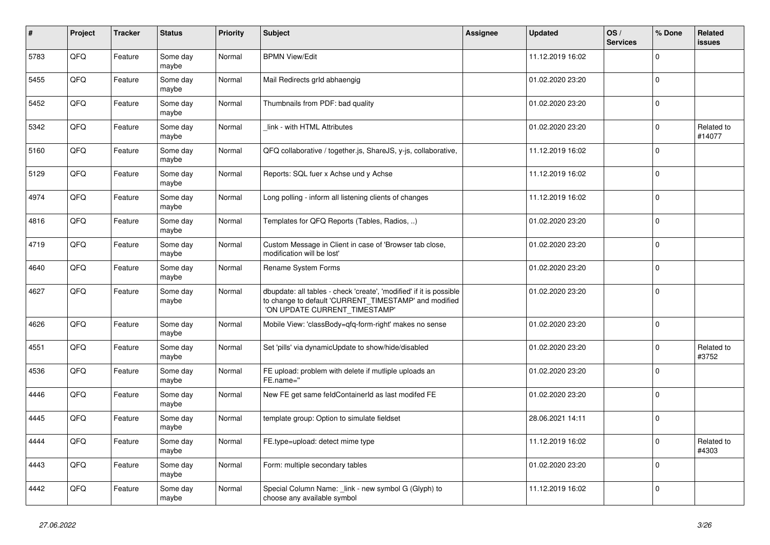| $\pmb{\sharp}$ | Project    | <b>Tracker</b> | <b>Status</b>     | <b>Priority</b> | <b>Subject</b>                                                                                                                                                | Assignee | <b>Updated</b>   | OS/<br><b>Services</b> | % Done         | <b>Related</b><br><b>issues</b> |
|----------------|------------|----------------|-------------------|-----------------|---------------------------------------------------------------------------------------------------------------------------------------------------------------|----------|------------------|------------------------|----------------|---------------------------------|
| 5783           | QFQ        | Feature        | Some day<br>maybe | Normal          | <b>BPMN View/Edit</b>                                                                                                                                         |          | 11.12.2019 16:02 |                        | $\Omega$       |                                 |
| 5455           | QFQ        | Feature        | Some day<br>maybe | Normal          | Mail Redirects grId abhaengig                                                                                                                                 |          | 01.02.2020 23:20 |                        | $\overline{0}$ |                                 |
| 5452           | QFQ        | Feature        | Some day<br>maybe | Normal          | Thumbnails from PDF: bad quality                                                                                                                              |          | 01.02.2020 23:20 |                        | $\mathbf{0}$   |                                 |
| 5342           | QFQ        | Feature        | Some day<br>maybe | Normal          | link - with HTML Attributes                                                                                                                                   |          | 01.02.2020 23:20 |                        | $\mathbf 0$    | Related to<br>#14077            |
| 5160           | QFQ        | Feature        | Some day<br>maybe | Normal          | QFQ collaborative / together.js, ShareJS, y-js, collaborative,                                                                                                |          | 11.12.2019 16:02 |                        | $\overline{0}$ |                                 |
| 5129           | QFQ        | Feature        | Some day<br>maybe | Normal          | Reports: SQL fuer x Achse und y Achse                                                                                                                         |          | 11.12.2019 16:02 |                        | $\mathbf{0}$   |                                 |
| 4974           | QFQ        | Feature        | Some day<br>maybe | Normal          | Long polling - inform all listening clients of changes                                                                                                        |          | 11.12.2019 16:02 |                        | $\overline{0}$ |                                 |
| 4816           | QFQ        | Feature        | Some day<br>maybe | Normal          | Templates for QFQ Reports (Tables, Radios, )                                                                                                                  |          | 01.02.2020 23:20 |                        | $\pmb{0}$      |                                 |
| 4719           | QFQ        | Feature        | Some day<br>maybe | Normal          | Custom Message in Client in case of 'Browser tab close,<br>modification will be lost'                                                                         |          | 01.02.2020 23:20 |                        | $\mathbf{0}$   |                                 |
| 4640           | QFQ        | Feature        | Some day<br>maybe | Normal          | Rename System Forms                                                                                                                                           |          | 01.02.2020 23:20 |                        | $\mathbf{0}$   |                                 |
| 4627           | QFQ        | Feature        | Some day<br>maybe | Normal          | dbupdate: all tables - check 'create', 'modified' if it is possible<br>to change to default 'CURRENT_TIMESTAMP' and modified<br>'ON UPDATE CURRENT_TIMESTAMP' |          | 01.02.2020 23:20 |                        | $\mathbf 0$    |                                 |
| 4626           | QFQ        | Feature        | Some day<br>maybe | Normal          | Mobile View: 'classBody=qfq-form-right' makes no sense                                                                                                        |          | 01.02.2020 23:20 |                        | $\Omega$       |                                 |
| 4551           | QFQ        | Feature        | Some day<br>maybe | Normal          | Set 'pills' via dynamicUpdate to show/hide/disabled                                                                                                           |          | 01.02.2020 23:20 |                        | $\mathbf{0}$   | Related to<br>#3752             |
| 4536           | QFQ        | Feature        | Some day<br>maybe | Normal          | FE upload: problem with delete if mutliple uploads an<br>FE.name="                                                                                            |          | 01.02.2020 23:20 |                        | $\mathbf{0}$   |                                 |
| 4446           | <b>OFO</b> | Feature        | Some day<br>maybe | Normal          | New FE get same feldContainerId as last modifed FE                                                                                                            |          | 01.02.2020 23:20 |                        | $\pmb{0}$      |                                 |
| 4445           | QFQ        | Feature        | Some day<br>maybe | Normal          | template group: Option to simulate fieldset                                                                                                                   |          | 28.06.2021 14:11 |                        | $\mathbf{0}$   |                                 |
| 4444           | QFQ        | Feature        | Some day<br>maybe | Normal          | FE.type=upload: detect mime type                                                                                                                              |          | 11.12.2019 16:02 |                        | $\mathbf{0}$   | Related to<br>#4303             |
| 4443           | QFQ        | Feature        | Some day<br>maybe | Normal          | Form: multiple secondary tables                                                                                                                               |          | 01.02.2020 23:20 |                        | $\Omega$       |                                 |
| 4442           | QFQ        | Feature        | Some day<br>maybe | Normal          | Special Column Name: link - new symbol G (Glyph) to<br>choose any available symbol                                                                            |          | 11.12.2019 16:02 |                        | $\overline{0}$ |                                 |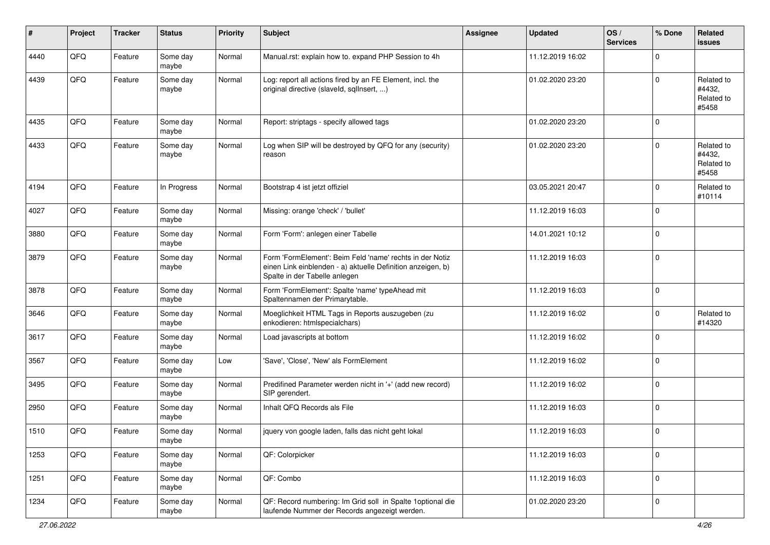| #    | Project | <b>Tracker</b> | <b>Status</b>     | Priority | Subject                                                                                                                                                  | <b>Assignee</b> | <b>Updated</b>   | OS/<br><b>Services</b> | % Done      | Related<br><b>issues</b>                    |
|------|---------|----------------|-------------------|----------|----------------------------------------------------------------------------------------------------------------------------------------------------------|-----------------|------------------|------------------------|-------------|---------------------------------------------|
| 4440 | QFQ     | Feature        | Some day<br>maybe | Normal   | Manual.rst: explain how to. expand PHP Session to 4h                                                                                                     |                 | 11.12.2019 16:02 |                        | $\mathbf 0$ |                                             |
| 4439 | QFQ     | Feature        | Some day<br>maybe | Normal   | Log: report all actions fired by an FE Element, incl. the<br>original directive (slaveld, sqlInsert, )                                                   |                 | 01.02.2020 23:20 |                        | $\mathbf 0$ | Related to<br>#4432,<br>Related to<br>#5458 |
| 4435 | QFQ     | Feature        | Some day<br>maybe | Normal   | Report: striptags - specify allowed tags                                                                                                                 |                 | 01.02.2020 23:20 |                        | $\mathbf 0$ |                                             |
| 4433 | QFQ     | Feature        | Some day<br>maybe | Normal   | Log when SIP will be destroyed by QFQ for any (security)<br>reason                                                                                       |                 | 01.02.2020 23:20 |                        | $\mathbf 0$ | Related to<br>#4432,<br>Related to<br>#5458 |
| 4194 | QFQ     | Feature        | In Progress       | Normal   | Bootstrap 4 ist jetzt offiziel                                                                                                                           |                 | 03.05.2021 20:47 |                        | $\mathbf 0$ | Related to<br>#10114                        |
| 4027 | QFQ     | Feature        | Some day<br>maybe | Normal   | Missing: orange 'check' / 'bullet'                                                                                                                       |                 | 11.12.2019 16:03 |                        | $\mathbf 0$ |                                             |
| 3880 | QFQ     | Feature        | Some day<br>maybe | Normal   | Form 'Form': anlegen einer Tabelle                                                                                                                       |                 | 14.01.2021 10:12 |                        | $\mathbf 0$ |                                             |
| 3879 | QFQ     | Feature        | Some day<br>maybe | Normal   | Form 'FormElement': Beim Feld 'name' rechts in der Notiz<br>einen Link einblenden - a) aktuelle Definition anzeigen, b)<br>Spalte in der Tabelle anlegen |                 | 11.12.2019 16:03 |                        | $\mathbf 0$ |                                             |
| 3878 | QFQ     | Feature        | Some day<br>maybe | Normal   | Form 'FormElement': Spalte 'name' typeAhead mit<br>Spaltennamen der Primarytable.                                                                        |                 | 11.12.2019 16:03 |                        | $\mathbf 0$ |                                             |
| 3646 | QFQ     | Feature        | Some day<br>maybe | Normal   | Moeglichkeit HTML Tags in Reports auszugeben (zu<br>enkodieren: htmlspecialchars)                                                                        |                 | 11.12.2019 16:02 |                        | $\mathbf 0$ | Related to<br>#14320                        |
| 3617 | QFQ     | Feature        | Some day<br>maybe | Normal   | Load javascripts at bottom                                                                                                                               |                 | 11.12.2019 16:02 |                        | $\mathbf 0$ |                                             |
| 3567 | QFQ     | Feature        | Some day<br>maybe | Low      | 'Save', 'Close', 'New' als FormElement                                                                                                                   |                 | 11.12.2019 16:02 |                        | $\mathbf 0$ |                                             |
| 3495 | QFQ     | Feature        | Some day<br>maybe | Normal   | Predifined Parameter werden nicht in '+' (add new record)<br>SIP gerendert.                                                                              |                 | 11.12.2019 16:02 |                        | $\mathbf 0$ |                                             |
| 2950 | QFQ     | Feature        | Some day<br>maybe | Normal   | Inhalt QFQ Records als File                                                                                                                              |                 | 11.12.2019 16:03 |                        | $\mathbf 0$ |                                             |
| 1510 | QFQ     | Feature        | Some day<br>maybe | Normal   | jquery von google laden, falls das nicht geht lokal                                                                                                      |                 | 11.12.2019 16:03 |                        | $\mathbf 0$ |                                             |
| 1253 | QFG     | Feature        | Some day<br>maybe | Normal   | QF: Colorpicker                                                                                                                                          |                 | 11.12.2019 16:03 |                        | $\mathbf 0$ |                                             |
| 1251 | QFQ     | Feature        | Some day<br>maybe | Normal   | QF: Combo                                                                                                                                                |                 | 11.12.2019 16:03 |                        | $\mathbf 0$ |                                             |
| 1234 | QFQ     | Feature        | Some day<br>maybe | Normal   | QF: Record numbering: Im Grid soll in Spalte 1optional die<br>laufende Nummer der Records angezeigt werden.                                              |                 | 01.02.2020 23:20 |                        | $\mathbf 0$ |                                             |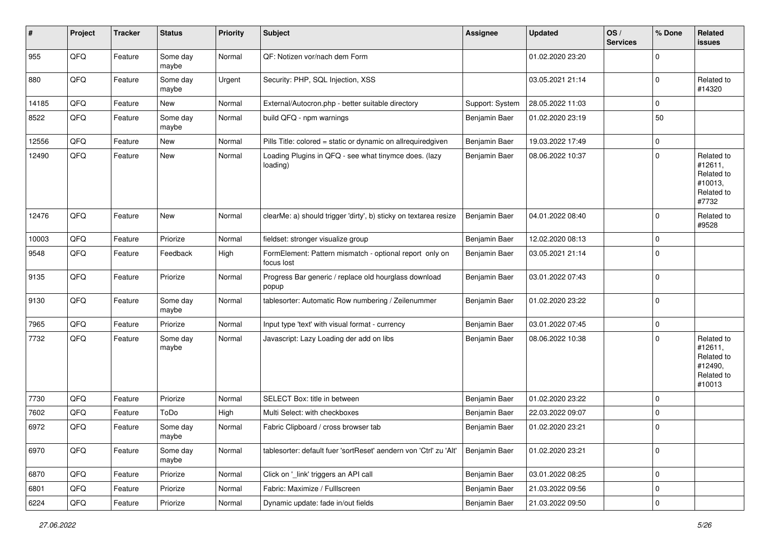| #     | Project | <b>Tracker</b> | <b>Status</b>     | <b>Priority</b> | Subject                                                               | <b>Assignee</b> | <b>Updated</b>   | OS/<br><b>Services</b> | % Done      | Related<br>issues                                                      |
|-------|---------|----------------|-------------------|-----------------|-----------------------------------------------------------------------|-----------------|------------------|------------------------|-------------|------------------------------------------------------------------------|
| 955   | QFQ     | Feature        | Some day<br>maybe | Normal          | QF: Notizen vor/nach dem Form                                         |                 | 01.02.2020 23:20 |                        | $\Omega$    |                                                                        |
| 880   | QFQ     | Feature        | Some day<br>maybe | Urgent          | Security: PHP, SQL Injection, XSS                                     |                 | 03.05.2021 21:14 |                        | $\Omega$    | Related to<br>#14320                                                   |
| 14185 | QFQ     | Feature        | New               | Normal          | External/Autocron.php - better suitable directory                     | Support: System | 28.05.2022 11:03 |                        | $\Omega$    |                                                                        |
| 8522  | QFQ     | Feature        | Some day<br>maybe | Normal          | build QFQ - npm warnings                                              | Benjamin Baer   | 01.02.2020 23:19 |                        | 50          |                                                                        |
| 12556 | QFQ     | Feature        | New               | Normal          | Pills Title: colored = static or dynamic on allrequiredgiven          | Benjamin Baer   | 19.03.2022 17:49 |                        | $\mathbf 0$ |                                                                        |
| 12490 | QFQ     | Feature        | New               | Normal          | Loading Plugins in QFQ - see what tinymce does. (lazy<br>loading)     | Benjamin Baer   | 08.06.2022 10:37 |                        | $\Omega$    | Related to<br>#12611,<br>Related to<br>#10013,<br>Related to<br>#7732  |
| 12476 | QFQ     | Feature        | <b>New</b>        | Normal          | clearMe: a) should trigger 'dirty', b) sticky on textarea resize      | Benjamin Baer   | 04.01.2022 08:40 |                        | $\Omega$    | Related to<br>#9528                                                    |
| 10003 | QFQ     | Feature        | Priorize          | Normal          | fieldset: stronger visualize group                                    | Benjamin Baer   | 12.02.2020 08:13 |                        | $\Omega$    |                                                                        |
| 9548  | QFQ     | Feature        | Feedback          | High            | FormElement: Pattern mismatch - optional report only on<br>focus lost | Benjamin Baer   | 03.05.2021 21:14 |                        | $\Omega$    |                                                                        |
| 9135  | QFQ     | Feature        | Priorize          | Normal          | Progress Bar generic / replace old hourglass download<br>popup        | Benjamin Baer   | 03.01.2022 07:43 |                        | $\mathbf 0$ |                                                                        |
| 9130  | QFQ     | Feature        | Some day<br>maybe | Normal          | tablesorter: Automatic Row numbering / Zeilenummer                    | Benjamin Baer   | 01.02.2020 23:22 |                        | $\Omega$    |                                                                        |
| 7965  | QFQ     | Feature        | Priorize          | Normal          | Input type 'text' with visual format - currency                       | Benjamin Baer   | 03.01.2022 07:45 |                        | 0           |                                                                        |
| 7732  | QFQ     | Feature        | Some day<br>maybe | Normal          | Javascript: Lazy Loading der add on libs                              | Benjamin Baer   | 08.06.2022 10:38 |                        | $\Omega$    | Related to<br>#12611,<br>Related to<br>#12490,<br>Related to<br>#10013 |
| 7730  | QFQ     | Feature        | Priorize          | Normal          | SELECT Box: title in between                                          | Benjamin Baer   | 01.02.2020 23:22 |                        | $\Omega$    |                                                                        |
| 7602  | QFQ     | Feature        | ToDo              | High            | Multi Select: with checkboxes                                         | Benjamin Baer   | 22.03.2022 09:07 |                        | $\Omega$    |                                                                        |
| 6972  | QFQ     | Feature        | Some day<br>maybe | Normal          | Fabric Clipboard / cross browser tab                                  | Benjamin Baer   | 01.02.2020 23:21 |                        | $\Omega$    |                                                                        |
| 6970  | QFQ     | Feature        | Some day<br>maybe | Normal          | tablesorter: default fuer 'sortReset' aendern von 'Ctrl' zu 'Alt'     | Benjamin Baer   | 01.02.2020 23:21 |                        | $\mathbf 0$ |                                                                        |
| 6870  | QFQ     | Feature        | Priorize          | Normal          | Click on '_link' triggers an API call                                 | Benjamin Baer   | 03.01.2022 08:25 |                        | $\mathbf 0$ |                                                                        |
| 6801  | QFQ     | Feature        | Priorize          | Normal          | Fabric: Maximize / FullIscreen                                        | Benjamin Baer   | 21.03.2022 09:56 |                        | 0           |                                                                        |
| 6224  | QFG     | Feature        | Priorize          | Normal          | Dynamic update: fade in/out fields                                    | Benjamin Baer   | 21.03.2022 09:50 |                        | $\pmb{0}$   |                                                                        |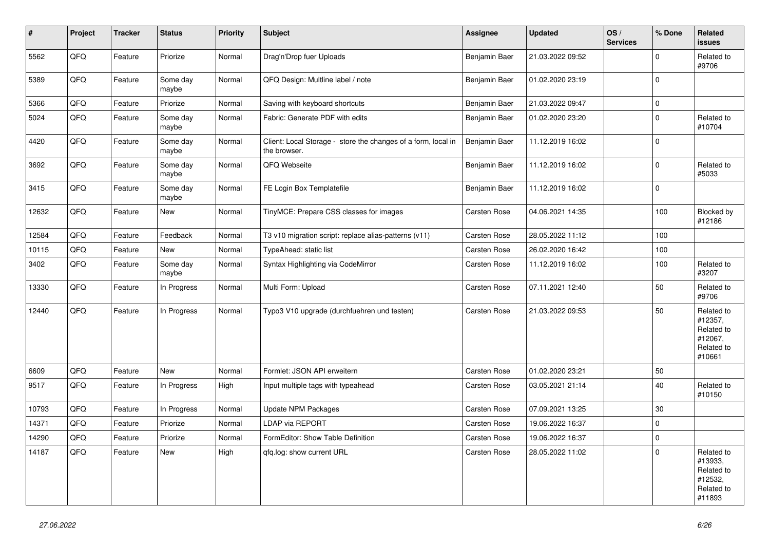| $\vert$ # | Project | <b>Tracker</b> | <b>Status</b>     | Priority | <b>Subject</b>                                                                | Assignee            | <b>Updated</b>   | OS/<br><b>Services</b> | % Done       | Related<br><b>issues</b>                                               |
|-----------|---------|----------------|-------------------|----------|-------------------------------------------------------------------------------|---------------------|------------------|------------------------|--------------|------------------------------------------------------------------------|
| 5562      | QFQ     | Feature        | Priorize          | Normal   | Drag'n'Drop fuer Uploads                                                      | Benjamin Baer       | 21.03.2022 09:52 |                        | $\Omega$     | Related to<br>#9706                                                    |
| 5389      | QFQ     | Feature        | Some day<br>maybe | Normal   | QFQ Design: Multline label / note                                             | Benjamin Baer       | 01.02.2020 23:19 |                        | $\mathbf 0$  |                                                                        |
| 5366      | QFQ     | Feature        | Priorize          | Normal   | Saving with keyboard shortcuts                                                | Benjamin Baer       | 21.03.2022 09:47 |                        | $\pmb{0}$    |                                                                        |
| 5024      | QFQ     | Feature        | Some day<br>maybe | Normal   | Fabric: Generate PDF with edits                                               | Benjamin Baer       | 01.02.2020 23:20 |                        | $\pmb{0}$    | Related to<br>#10704                                                   |
| 4420      | QFQ     | Feature        | Some day<br>maybe | Normal   | Client: Local Storage - store the changes of a form, local in<br>the browser. | Benjamin Baer       | 11.12.2019 16:02 |                        | $\Omega$     |                                                                        |
| 3692      | QFQ     | Feature        | Some day<br>maybe | Normal   | QFQ Webseite                                                                  | Benjamin Baer       | 11.12.2019 16:02 |                        | $\mathbf 0$  | Related to<br>#5033                                                    |
| 3415      | QFQ     | Feature        | Some day<br>maybe | Normal   | FE Login Box Templatefile                                                     | Benjamin Baer       | 11.12.2019 16:02 |                        | $\pmb{0}$    |                                                                        |
| 12632     | QFQ     | Feature        | <b>New</b>        | Normal   | TinyMCE: Prepare CSS classes for images                                       | Carsten Rose        | 04.06.2021 14:35 |                        | 100          | Blocked by<br>#12186                                                   |
| 12584     | QFQ     | Feature        | Feedback          | Normal   | T3 v10 migration script: replace alias-patterns (v11)                         | Carsten Rose        | 28.05.2022 11:12 |                        | 100          |                                                                        |
| 10115     | QFQ     | Feature        | New               | Normal   | TypeAhead: static list                                                        | Carsten Rose        | 26.02.2020 16:42 |                        | 100          |                                                                        |
| 3402      | QFQ     | Feature        | Some day<br>maybe | Normal   | Syntax Highlighting via CodeMirror                                            | Carsten Rose        | 11.12.2019 16:02 |                        | 100          | Related to<br>#3207                                                    |
| 13330     | QFQ     | Feature        | In Progress       | Normal   | Multi Form: Upload                                                            | Carsten Rose        | 07.11.2021 12:40 |                        | 50           | Related to<br>#9706                                                    |
| 12440     | QFQ     | Feature        | In Progress       | Normal   | Typo3 V10 upgrade (durchfuehren und testen)                                   | Carsten Rose        | 21.03.2022 09:53 |                        | 50           | Related to<br>#12357,<br>Related to<br>#12067,<br>Related to<br>#10661 |
| 6609      | QFQ     | Feature        | New               | Normal   | Formlet: JSON API erweitern                                                   | Carsten Rose        | 01.02.2020 23:21 |                        | 50           |                                                                        |
| 9517      | QFQ     | Feature        | In Progress       | High     | Input multiple tags with typeahead                                            | Carsten Rose        | 03.05.2021 21:14 |                        | 40           | Related to<br>#10150                                                   |
| 10793     | QFQ     | Feature        | In Progress       | Normal   | Update NPM Packages                                                           | Carsten Rose        | 07.09.2021 13:25 |                        | 30           |                                                                        |
| 14371     | QFQ     | Feature        | Priorize          | Normal   | LDAP via REPORT                                                               | Carsten Rose        | 19.06.2022 16:37 |                        | $\mathbf 0$  |                                                                        |
| 14290     | QFQ     | Feature        | Priorize          | Normal   | FormEditor: Show Table Definition                                             | Carsten Rose        | 19.06.2022 16:37 |                        | $\pmb{0}$    |                                                                        |
| 14187     | QFQ     | Feature        | New               | High     | gfg.log: show current URL                                                     | <b>Carsten Rose</b> | 28.05.2022 11:02 |                        | $\mathbf{0}$ | Related to<br>#13933,<br>Related to<br>#12532,<br>Related to<br>#11893 |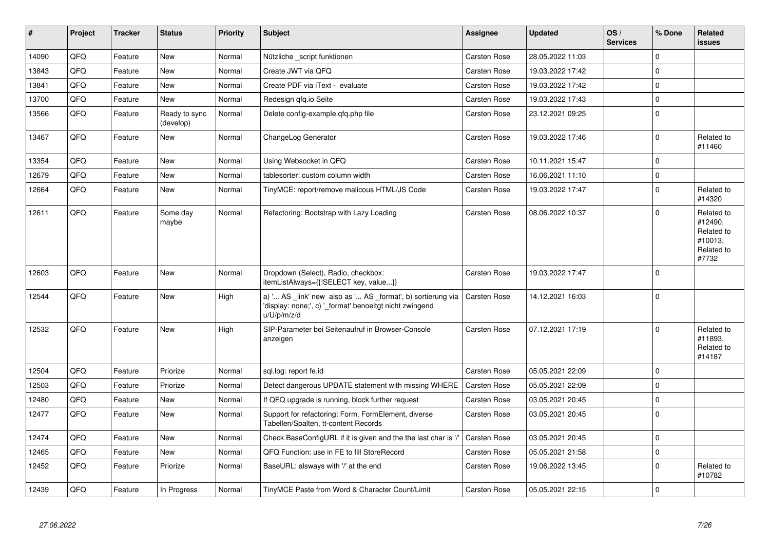| $\pmb{\#}$ | Project | <b>Tracker</b> | <b>Status</b>              | <b>Priority</b> | <b>Subject</b>                                                                                                                        | Assignee            | <b>Updated</b>   | OS/<br><b>Services</b> | % Done      | Related<br>issues                                                     |
|------------|---------|----------------|----------------------------|-----------------|---------------------------------------------------------------------------------------------------------------------------------------|---------------------|------------------|------------------------|-------------|-----------------------------------------------------------------------|
| 14090      | QFQ     | Feature        | <b>New</b>                 | Normal          | Nützliche _script funktionen                                                                                                          | <b>Carsten Rose</b> | 28.05.2022 11:03 |                        | $\Omega$    |                                                                       |
| 13843      | QFQ     | Feature        | New                        | Normal          | Create JWT via QFQ                                                                                                                    | <b>Carsten Rose</b> | 19.03.2022 17:42 |                        | $\mathbf 0$ |                                                                       |
| 13841      | QFQ     | Feature        | <b>New</b>                 | Normal          | Create PDF via iText - evaluate                                                                                                       | <b>Carsten Rose</b> | 19.03.2022 17:42 |                        | 0           |                                                                       |
| 13700      | QFQ     | Feature        | New                        | Normal          | Redesign gfg.io Seite                                                                                                                 | <b>Carsten Rose</b> | 19.03.2022 17:43 |                        | $\pmb{0}$   |                                                                       |
| 13566      | QFQ     | Feature        | Ready to sync<br>(develop) | Normal          | Delete config-example.gfg.php file                                                                                                    | <b>Carsten Rose</b> | 23.12.2021 09:25 |                        | $\mathbf 0$ |                                                                       |
| 13467      | QFQ     | Feature        | New                        | Normal          | ChangeLog Generator                                                                                                                   | Carsten Rose        | 19.03.2022 17:46 |                        | $\mathbf 0$ | Related to<br>#11460                                                  |
| 13354      | QFQ     | Feature        | <b>New</b>                 | Normal          | Using Websocket in QFQ                                                                                                                | <b>Carsten Rose</b> | 10.11.2021 15:47 |                        | 0           |                                                                       |
| 12679      | QFQ     | Feature        | New                        | Normal          | tablesorter: custom column width                                                                                                      | <b>Carsten Rose</b> | 16.06.2021 11:10 |                        | $\pmb{0}$   |                                                                       |
| 12664      | QFQ     | Feature        | <b>New</b>                 | Normal          | TinyMCE: report/remove malicous HTML/JS Code                                                                                          | Carsten Rose        | 19.03.2022 17:47 |                        | $\mathbf 0$ | Related to<br>#14320                                                  |
| 12611      | QFQ     | Feature        | Some day<br>maybe          | Normal          | Refactoring: Bootstrap with Lazy Loading                                                                                              | <b>Carsten Rose</b> | 08.06.2022 10:37 |                        | $\mathbf 0$ | Related to<br>#12490,<br>Related to<br>#10013,<br>Related to<br>#7732 |
| 12603      | QFQ     | Feature        | <b>New</b>                 | Normal          | Dropdown (Select), Radio, checkbox:<br>itemListAlways={{!SELECT key, value}}                                                          | <b>Carsten Rose</b> | 19.03.2022 17:47 |                        | $\mathbf 0$ |                                                                       |
| 12544      | QFQ     | Feature        | <b>New</b>                 | High            | a) ' AS _link' new also as ' AS _format', b) sortierung via<br>'display: none;', c) ' format' benoeitgt nicht zwingend<br>u/U/p/m/z/d | Carsten Rose        | 14.12.2021 16:03 |                        | $\mathbf 0$ |                                                                       |
| 12532      | QFQ     | Feature        | New                        | High            | SIP-Parameter bei Seitenaufruf in Browser-Console<br>anzeigen                                                                         | <b>Carsten Rose</b> | 07.12.2021 17:19 |                        | $\mathbf 0$ | Related to<br>#11893.<br>Related to<br>#14187                         |
| 12504      | QFQ     | Feature        | Priorize                   | Normal          | sgl.log: report fe.id                                                                                                                 | <b>Carsten Rose</b> | 05.05.2021 22:09 |                        | $\Omega$    |                                                                       |
| 12503      | QFQ     | Feature        | Priorize                   | Normal          | Detect dangerous UPDATE statement with missing WHERE                                                                                  | Carsten Rose        | 05.05.2021 22:09 |                        | $\mathbf 0$ |                                                                       |
| 12480      | QFQ     | Feature        | New                        | Normal          | If QFQ upgrade is running, block further request                                                                                      | Carsten Rose        | 03.05.2021 20:45 |                        | $\mathbf 0$ |                                                                       |
| 12477      | QFQ     | Feature        | New                        | Normal          | Support for refactoring: Form, FormElement, diverse<br>Tabellen/Spalten, tt-content Records                                           | Carsten Rose        | 03.05.2021 20:45 |                        | $\pmb{0}$   |                                                                       |
| 12474      | QFQ     | Feature        | <b>New</b>                 | Normal          | Check BaseConfigURL if it is given and the the last char is '/                                                                        | Carsten Rose        | 03.05.2021 20:45 |                        | $\mathbf 0$ |                                                                       |
| 12465      | QFQ     | Feature        | New                        | Normal          | QFQ Function: use in FE to fill StoreRecord                                                                                           | <b>Carsten Rose</b> | 05.05.2021 21:58 |                        | $\pmb{0}$   |                                                                       |
| 12452      | QFQ     | Feature        | Priorize                   | Normal          | BaseURL: alsways with '/' at the end                                                                                                  | <b>Carsten Rose</b> | 19.06.2022 13:45 |                        | $\mathbf 0$ | Related to<br>#10782                                                  |
| 12439      | QFQ     | Feature        | In Progress                | Normal          | TinyMCE Paste from Word & Character Count/Limit                                                                                       | <b>Carsten Rose</b> | 05.05.2021 22:15 |                        | $\mathbf 0$ |                                                                       |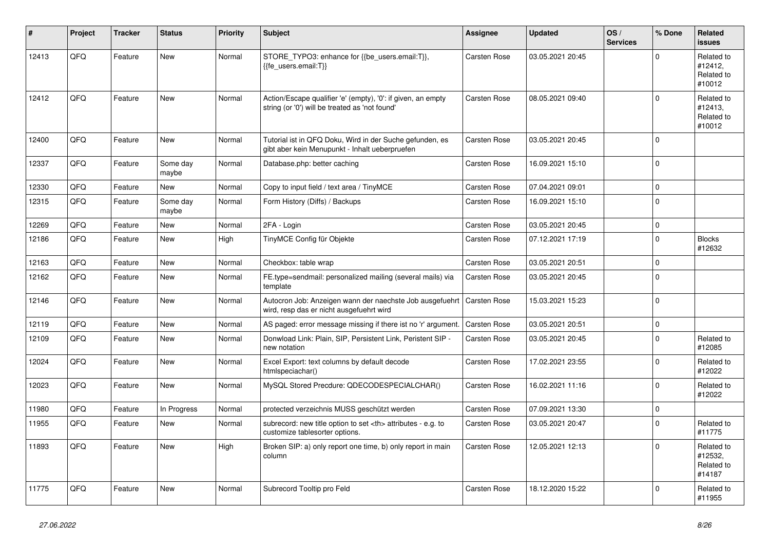| ∦     | Project | <b>Tracker</b> | <b>Status</b>     | <b>Priority</b> | <b>Subject</b>                                                                                                 | Assignee                                               | <b>Updated</b>   | OS/<br><b>Services</b> | % Done      | Related<br><b>issues</b>                      |                      |
|-------|---------|----------------|-------------------|-----------------|----------------------------------------------------------------------------------------------------------------|--------------------------------------------------------|------------------|------------------------|-------------|-----------------------------------------------|----------------------|
| 12413 | QFQ     | Feature        | New               | Normal          | STORE_TYPO3: enhance for {{be_users.email:T}},<br>{{fe users.email:T}}                                         | Carsten Rose                                           | 03.05.2021 20:45 |                        | $\Omega$    | Related to<br>#12412,<br>Related to<br>#10012 |                      |
| 12412 | QFQ     | Feature        | <b>New</b>        | Normal          | Action/Escape qualifier 'e' (empty), '0': if given, an empty<br>string (or '0') will be treated as 'not found' | Carsten Rose                                           | 08.05.2021 09:40 |                        | $\mathbf 0$ | Related to<br>#12413.<br>Related to<br>#10012 |                      |
| 12400 | QFQ     | Feature        | New               | Normal          | Tutorial ist in QFQ Doku, Wird in der Suche gefunden, es<br>gibt aber kein Menupunkt - Inhalt ueberpruefen     | <b>Carsten Rose</b>                                    | 03.05.2021 20:45 |                        | $\Omega$    |                                               |                      |
| 12337 | QFQ     | Feature        | Some day<br>maybe | Normal          | Database.php: better caching                                                                                   | Carsten Rose                                           | 16.09.2021 15:10 |                        | $\Omega$    |                                               |                      |
| 12330 | QFQ     | Feature        | New               | Normal          | Copy to input field / text area / TinyMCE                                                                      | Carsten Rose                                           | 07.04.2021 09:01 |                        | $\mathbf 0$ |                                               |                      |
| 12315 | QFQ     | Feature        | Some day<br>maybe | Normal          | Form History (Diffs) / Backups                                                                                 | Carsten Rose                                           | 16.09.2021 15:10 |                        | $\mathbf 0$ |                                               |                      |
| 12269 | QFQ     | Feature        | New               | Normal          | 2FA - Login                                                                                                    | Carsten Rose                                           | 03.05.2021 20:45 |                        | $\mathbf 0$ |                                               |                      |
| 12186 | QFQ     | Feature        | <b>New</b>        | High            | TinyMCE Config für Objekte                                                                                     | Carsten Rose                                           | 07.12.2021 17:19 |                        | $\mathbf 0$ | <b>Blocks</b><br>#12632                       |                      |
| 12163 | QFQ     | Feature        | <b>New</b>        | Normal          | Checkbox: table wrap                                                                                           | Carsten Rose                                           | 03.05.2021 20:51 |                        | $\mathbf 0$ |                                               |                      |
| 12162 | QFQ     | Feature        | <b>New</b>        | Normal          | FE.type=sendmail: personalized mailing (several mails) via<br>template                                         | Carsten Rose                                           | 03.05.2021 20:45 |                        | $\mathbf 0$ |                                               |                      |
| 12146 | QFQ     | Feature        | New               | Normal          | Autocron Job: Anzeigen wann der naechste Job ausgefuehrt<br>wird, resp das er nicht ausgefuehrt wird           | Carsten Rose                                           | 15.03.2021 15:23 |                        | $\Omega$    |                                               |                      |
| 12119 | QFQ     | Feature        | New               | Normal          | AS paged: error message missing if there ist no 'r' argument.                                                  | <b>Carsten Rose</b>                                    | 03.05.2021 20:51 |                        | $\mathbf 0$ |                                               |                      |
| 12109 | QFQ     | Feature        | New               | Normal          | Donwload Link: Plain, SIP, Persistent Link, Peristent SIP -<br>new notation                                    | <b>Carsten Rose</b>                                    | 03.05.2021 20:45 |                        | $\mathbf 0$ | Related to<br>#12085                          |                      |
| 12024 | QFQ     | Feature        | New               | Normal          | Excel Export: text columns by default decode<br>htmlspeciachar()                                               | Carsten Rose                                           | 17.02.2021 23:55 |                        | $\Omega$    | Related to<br>#12022                          |                      |
| 12023 | QFQ     | Feature        | <b>New</b>        | Normal          | MySQL Stored Precdure: QDECODESPECIALCHAR()                                                                    | Carsten Rose                                           | 16.02.2021 11:16 |                        | $\mathbf 0$ | Related to<br>#12022                          |                      |
| 11980 | QFQ     | Feature        | In Progress       | Normal          | protected verzeichnis MUSS geschützt werden                                                                    | Carsten Rose                                           | 07.09.2021 13:30 |                        | $\pmb{0}$   |                                               |                      |
| 11955 | QFQ     | Feature        | New               | Normal          | subrecord: new title option to set <th> attributes - e.g. to<br/>customize tablesorter options.</th>           | attributes - e.g. to<br>customize tablesorter options. | Carsten Rose     | 03.05.2021 20:47       |             | $\mathbf 0$                                   | Related to<br>#11775 |
| 11893 | QFQ     | Feature        | New               | High            | Broken SIP: a) only report one time, b) only report in main<br>column                                          | Carsten Rose                                           | 12.05.2021 12:13 |                        | $\mathbf 0$ | Related to<br>#12532,<br>Related to<br>#14187 |                      |
| 11775 | QFQ     | Feature        | <b>New</b>        | Normal          | Subrecord Tooltip pro Feld                                                                                     | Carsten Rose                                           | 18.12.2020 15:22 |                        | $\Omega$    | Related to<br>#11955                          |                      |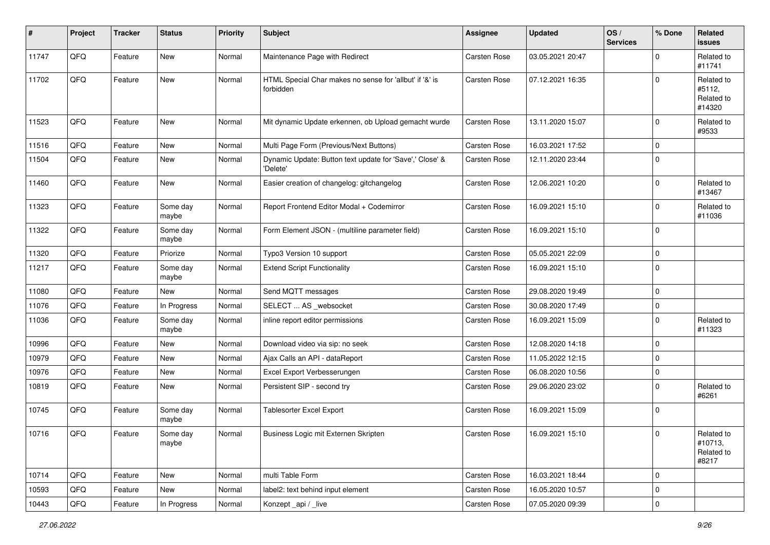| #     | Project | <b>Tracker</b> | <b>Status</b>     | <b>Priority</b> | Subject                                                              | <b>Assignee</b> | <b>Updated</b>   | OS/<br><b>Services</b> | % Done      | Related<br>issues                            |
|-------|---------|----------------|-------------------|-----------------|----------------------------------------------------------------------|-----------------|------------------|------------------------|-------------|----------------------------------------------|
| 11747 | QFQ     | Feature        | New               | Normal          | Maintenance Page with Redirect                                       | Carsten Rose    | 03.05.2021 20:47 |                        | $\mathbf 0$ | Related to<br>#11741                         |
| 11702 | QFQ     | Feature        | New               | Normal          | HTML Special Char makes no sense for 'allbut' if '&' is<br>forbidden | Carsten Rose    | 07.12.2021 16:35 |                        | $\Omega$    | Related to<br>#5112,<br>Related to<br>#14320 |
| 11523 | QFQ     | Feature        | <b>New</b>        | Normal          | Mit dynamic Update erkennen, ob Upload gemacht wurde                 | Carsten Rose    | 13.11.2020 15:07 |                        | $\mathbf 0$ | Related to<br>#9533                          |
| 11516 | QFQ     | Feature        | <b>New</b>        | Normal          | Multi Page Form (Previous/Next Buttons)                              | Carsten Rose    | 16.03.2021 17:52 |                        | $\mathbf 0$ |                                              |
| 11504 | QFQ     | Feature        | <b>New</b>        | Normal          | Dynamic Update: Button text update for 'Save',' Close' &<br>'Delete' | Carsten Rose    | 12.11.2020 23:44 |                        | $\pmb{0}$   |                                              |
| 11460 | QFQ     | Feature        | New               | Normal          | Easier creation of changelog: gitchangelog                           | Carsten Rose    | 12.06.2021 10:20 |                        | $\pmb{0}$   | Related to<br>#13467                         |
| 11323 | QFQ     | Feature        | Some day<br>maybe | Normal          | Report Frontend Editor Modal + Codemirror                            | Carsten Rose    | 16.09.2021 15:10 |                        | $\pmb{0}$   | Related to<br>#11036                         |
| 11322 | QFQ     | Feature        | Some day<br>maybe | Normal          | Form Element JSON - (multiline parameter field)                      | Carsten Rose    | 16.09.2021 15:10 |                        | 0           |                                              |
| 11320 | QFQ     | Feature        | Priorize          | Normal          | Typo3 Version 10 support                                             | Carsten Rose    | 05.05.2021 22:09 |                        | $\pmb{0}$   |                                              |
| 11217 | QFQ     | Feature        | Some day<br>maybe | Normal          | <b>Extend Script Functionality</b>                                   | Carsten Rose    | 16.09.2021 15:10 |                        | 0           |                                              |
| 11080 | QFQ     | Feature        | New               | Normal          | Send MQTT messages                                                   | Carsten Rose    | 29.08.2020 19:49 |                        | $\pmb{0}$   |                                              |
| 11076 | QFQ     | Feature        | In Progress       | Normal          | SELECT  AS _websocket                                                | Carsten Rose    | 30.08.2020 17:49 |                        | $\mathbf 0$ |                                              |
| 11036 | QFQ     | Feature        | Some day<br>maybe | Normal          | inline report editor permissions                                     | Carsten Rose    | 16.09.2021 15:09 |                        | $\mathbf 0$ | Related to<br>#11323                         |
| 10996 | QFQ     | Feature        | <b>New</b>        | Normal          | Download video via sip: no seek                                      | Carsten Rose    | 12.08.2020 14:18 |                        | $\mathbf 0$ |                                              |
| 10979 | QFQ     | Feature        | New               | Normal          | Ajax Calls an API - dataReport                                       | Carsten Rose    | 11.05.2022 12:15 |                        | 0           |                                              |
| 10976 | QFQ     | Feature        | New               | Normal          | Excel Export Verbesserungen                                          | Carsten Rose    | 06.08.2020 10:56 |                        | 0           |                                              |
| 10819 | QFQ     | Feature        | <b>New</b>        | Normal          | Persistent SIP - second try                                          | Carsten Rose    | 29.06.2020 23:02 |                        | 0           | Related to<br>#6261                          |
| 10745 | QFQ     | Feature        | Some day<br>maybe | Normal          | Tablesorter Excel Export                                             | Carsten Rose    | 16.09.2021 15:09 |                        | $\mathbf 0$ |                                              |
| 10716 | QFQ     | Feature        | Some day<br>maybe | Normal          | Business Logic mit Externen Skripten                                 | Carsten Rose    | 16.09.2021 15:10 |                        | $\mathbf 0$ | Related to<br>#10713,<br>Related to<br>#8217 |
| 10714 | QFQ     | Feature        | New               | Normal          | multi Table Form                                                     | Carsten Rose    | 16.03.2021 18:44 |                        | $\pmb{0}$   |                                              |
| 10593 | QFQ     | Feature        | New               | Normal          | label2: text behind input element                                    | Carsten Rose    | 16.05.2020 10:57 |                        | $\pmb{0}$   |                                              |
| 10443 | QFQ     | Feature        | In Progress       | Normal          | Konzept_api / _live                                                  | Carsten Rose    | 07.05.2020 09:39 |                        | $\pmb{0}$   |                                              |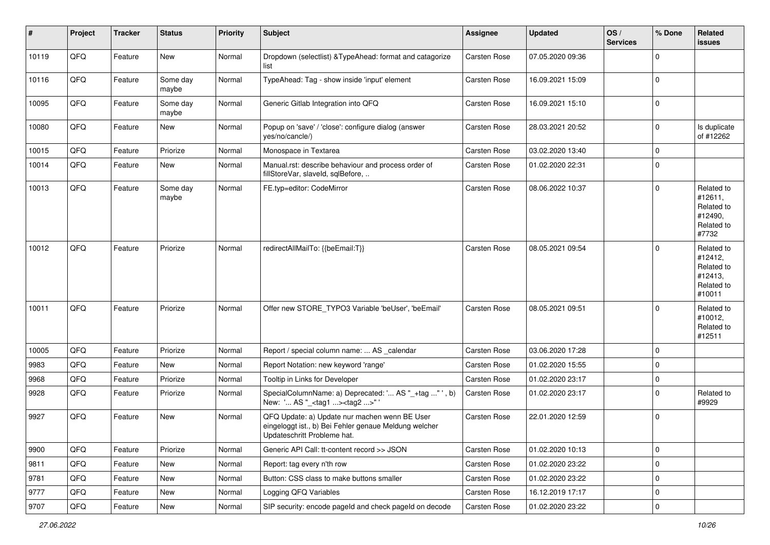| $\sharp$ | Project | <b>Tracker</b> | <b>Status</b>     | <b>Priority</b> | <b>Subject</b>                                                                                                                        | <b>Assignee</b>     | <b>Updated</b>   | OS/<br><b>Services</b> | % Done      | Related<br><b>issues</b>                                               |
|----------|---------|----------------|-------------------|-----------------|---------------------------------------------------------------------------------------------------------------------------------------|---------------------|------------------|------------------------|-------------|------------------------------------------------------------------------|
| 10119    | QFQ     | Feature        | New               | Normal          | Dropdown (selectlist) & TypeAhead: format and catagorize<br>list                                                                      | Carsten Rose        | 07.05.2020 09:36 |                        | $\Omega$    |                                                                        |
| 10116    | QFQ     | Feature        | Some day<br>maybe | Normal          | TypeAhead: Tag - show inside 'input' element                                                                                          | Carsten Rose        | 16.09.2021 15:09 |                        | $\mathbf 0$ |                                                                        |
| 10095    | QFQ     | Feature        | Some day<br>maybe | Normal          | Generic Gitlab Integration into QFQ                                                                                                   | Carsten Rose        | 16.09.2021 15:10 |                        | $\mathbf 0$ |                                                                        |
| 10080    | QFQ     | Feature        | New               | Normal          | Popup on 'save' / 'close': configure dialog (answer<br>yes/no/cancle/)                                                                | Carsten Rose        | 28.03.2021 20:52 |                        | $\mathbf 0$ | Is duplicate<br>of #12262                                              |
| 10015    | QFQ     | Feature        | Priorize          | Normal          | Monospace in Textarea                                                                                                                 | Carsten Rose        | 03.02.2020 13:40 |                        | $\mathbf 0$ |                                                                        |
| 10014    | QFQ     | Feature        | New               | Normal          | Manual.rst: describe behaviour and process order of<br>fillStoreVar, slaveId, sqlBefore,                                              | Carsten Rose        | 01.02.2020 22:31 |                        | $\mathbf 0$ |                                                                        |
| 10013    | QFQ     | Feature        | Some day<br>maybe | Normal          | FE.typ=editor: CodeMirror                                                                                                             | Carsten Rose        | 08.06.2022 10:37 |                        | $\mathbf 0$ | Related to<br>#12611,<br>Related to<br>#12490,<br>Related to<br>#7732  |
| 10012    | QFQ     | Feature        | Priorize          | Normal          | redirectAllMailTo: {{beEmail:T}}                                                                                                      | <b>Carsten Rose</b> | 08.05.2021 09:54 |                        | $\mathbf 0$ | Related to<br>#12412,<br>Related to<br>#12413,<br>Related to<br>#10011 |
| 10011    | QFQ     | Feature        | Priorize          | Normal          | Offer new STORE TYPO3 Variable 'beUser', 'beEmail'                                                                                    | <b>Carsten Rose</b> | 08.05.2021 09:51 |                        | $\mathbf 0$ | Related to<br>#10012,<br>Related to<br>#12511                          |
| 10005    | QFQ     | Feature        | Priorize          | Normal          | Report / special column name:  AS _calendar                                                                                           | Carsten Rose        | 03.06.2020 17:28 |                        | $\mathbf 0$ |                                                                        |
| 9983     | QFQ     | Feature        | New               | Normal          | Report Notation: new keyword 'range'                                                                                                  | Carsten Rose        | 01.02.2020 15:55 |                        | $\mathbf 0$ |                                                                        |
| 9968     | QFQ     | Feature        | Priorize          | Normal          | Tooltip in Links for Developer                                                                                                        | Carsten Rose        | 01.02.2020 23:17 |                        | $\mathbf 0$ |                                                                        |
| 9928     | QFQ     | Feature        | Priorize          | Normal          | SpecialColumnName: a) Deprecated: ' AS "_+tag " ', b)<br>New: ' AS "_ <tag1><tag2>"</tag2></tag1>                                     | Carsten Rose        | 01.02.2020 23:17 |                        | $\mathbf 0$ | Related to<br>#9929                                                    |
| 9927     | QFQ     | Feature        | New               | Normal          | QFQ Update: a) Update nur machen wenn BE User<br>eingeloggt ist., b) Bei Fehler genaue Meldung welcher<br>Updateschritt Probleme hat. | <b>Carsten Rose</b> | 22.01.2020 12:59 |                        | $\mathbf 0$ |                                                                        |
| 9900     | QFQ     | Feature        | Priorize          | Normal          | Generic API Call: tt-content record >> JSON                                                                                           | Carsten Rose        | 01.02.2020 10:13 |                        | 0           |                                                                        |
| 9811     | QFQ     | Feature        | New               | Normal          | Report: tag every n'th row                                                                                                            | Carsten Rose        | 01.02.2020 23:22 |                        | $\mathbf 0$ |                                                                        |
| 9781     | QFQ     | Feature        | New               | Normal          | Button: CSS class to make buttons smaller                                                                                             | Carsten Rose        | 01.02.2020 23:22 |                        | $\pmb{0}$   |                                                                        |
| 9777     | QFQ     | Feature        | New               | Normal          | Logging QFQ Variables                                                                                                                 | Carsten Rose        | 16.12.2019 17:17 |                        | $\mathbf 0$ |                                                                        |
| 9707     | QFQ     | Feature        | New               | Normal          | SIP security: encode pageId and check pageId on decode                                                                                | Carsten Rose        | 01.02.2020 23:22 |                        | $\pmb{0}$   |                                                                        |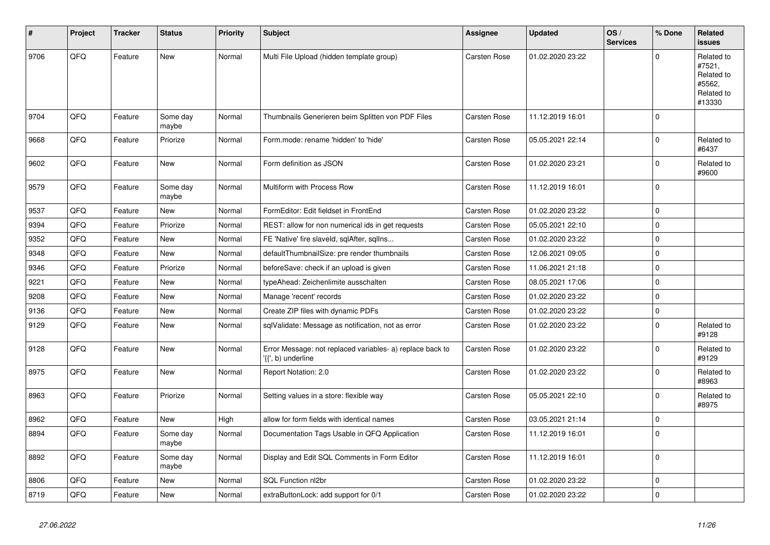| #    | Project | <b>Tracker</b> | <b>Status</b>     | <b>Priority</b> | <b>Subject</b>                                                                 | Assignee     | <b>Updated</b>   | OS/<br><b>Services</b> | % Done      | Related<br><b>issues</b>                                             |
|------|---------|----------------|-------------------|-----------------|--------------------------------------------------------------------------------|--------------|------------------|------------------------|-------------|----------------------------------------------------------------------|
| 9706 | QFQ     | Feature        | <b>New</b>        | Normal          | Multi File Upload (hidden template group)                                      | Carsten Rose | 01.02.2020 23:22 |                        | $\Omega$    | Related to<br>#7521,<br>Related to<br>#5562,<br>Related to<br>#13330 |
| 9704 | QFQ     | Feature        | Some day<br>maybe | Normal          | Thumbnails Generieren beim Splitten von PDF Files                              | Carsten Rose | 11.12.2019 16:01 |                        | $\mathbf 0$ |                                                                      |
| 9668 | QFQ     | Feature        | Priorize          | Normal          | Form.mode: rename 'hidden' to 'hide'                                           | Carsten Rose | 05.05.2021 22:14 |                        | $\mathbf 0$ | Related to<br>#6437                                                  |
| 9602 | QFQ     | Feature        | <b>New</b>        | Normal          | Form definition as JSON                                                        | Carsten Rose | 01.02.2020 23:21 |                        | $\mathbf 0$ | Related to<br>#9600                                                  |
| 9579 | QFQ     | Feature        | Some day<br>maybe | Normal          | Multiform with Process Row                                                     | Carsten Rose | 11.12.2019 16:01 |                        | $\pmb{0}$   |                                                                      |
| 9537 | QFQ     | Feature        | New               | Normal          | FormEditor: Edit fieldset in FrontEnd                                          | Carsten Rose | 01.02.2020 23:22 |                        | $\mathbf 0$ |                                                                      |
| 9394 | QFQ     | Feature        | Priorize          | Normal          | REST: allow for non numerical ids in get requests                              | Carsten Rose | 05.05.2021 22:10 |                        | $\mathbf 0$ |                                                                      |
| 9352 | QFQ     | Feature        | <b>New</b>        | Normal          | FE 'Native' fire slaveld, sqlAfter, sqllns                                     | Carsten Rose | 01.02.2020 23:22 |                        | $\mathbf 0$ |                                                                      |
| 9348 | QFQ     | Feature        | <b>New</b>        | Normal          | defaultThumbnailSize: pre render thumbnails                                    | Carsten Rose | 12.06.2021 09:05 |                        | $\mathbf 0$ |                                                                      |
| 9346 | QFQ     | Feature        | Priorize          | Normal          | beforeSave: check if an upload is given                                        | Carsten Rose | 11.06.2021 21:18 |                        | $\mathbf 0$ |                                                                      |
| 9221 | QFQ     | Feature        | New               | Normal          | typeAhead: Zeichenlimite ausschalten                                           | Carsten Rose | 08.05.2021 17:06 |                        | $\pmb{0}$   |                                                                      |
| 9208 | QFQ     | Feature        | <b>New</b>        | Normal          | Manage 'recent' records                                                        | Carsten Rose | 01.02.2020 23:22 |                        | $\mathbf 0$ |                                                                      |
| 9136 | QFQ     | Feature        | <b>New</b>        | Normal          | Create ZIP files with dynamic PDFs                                             | Carsten Rose | 01.02.2020 23:22 |                        | $\mathbf 0$ |                                                                      |
| 9129 | QFQ     | Feature        | New               | Normal          | sqlValidate: Message as notification, not as error                             | Carsten Rose | 01.02.2020 23:22 |                        | $\mathbf 0$ | Related to<br>#9128                                                  |
| 9128 | QFQ     | Feature        | New               | Normal          | Error Message: not replaced variables- a) replace back to<br>{{', b) underline | Carsten Rose | 01.02.2020 23:22 |                        | $\mathbf 0$ | Related to<br>#9129                                                  |
| 8975 | QFQ     | Feature        | New               | Normal          | Report Notation: 2.0                                                           | Carsten Rose | 01.02.2020 23:22 |                        | $\pmb{0}$   | Related to<br>#8963                                                  |
| 8963 | QFQ     | Feature        | Priorize          | Normal          | Setting values in a store: flexible way                                        | Carsten Rose | 05.05.2021 22:10 |                        | $\mathbf 0$ | Related to<br>#8975                                                  |
| 8962 | QFQ     | Feature        | New               | High            | allow for form fields with identical names                                     | Carsten Rose | 03.05.2021 21:14 |                        | $\pmb{0}$   |                                                                      |
| 8894 | QFQ     | Feature        | Some day<br>maybe | Normal          | Documentation Tags Usable in QFQ Application                                   | Carsten Rose | 11.12.2019 16:01 |                        | $\Omega$    |                                                                      |
| 8892 | QFQ     | Feature        | Some day<br>maybe | Normal          | Display and Edit SQL Comments in Form Editor                                   | Carsten Rose | 11.12.2019 16:01 |                        | $\pmb{0}$   |                                                                      |
| 8806 | QFQ     | Feature        | New               | Normal          | <b>SQL Function nl2br</b>                                                      | Carsten Rose | 01.02.2020 23:22 |                        | $\pmb{0}$   |                                                                      |
| 8719 | QFQ     | Feature        | New               | Normal          | extraButtonLock: add support for 0/1                                           | Carsten Rose | 01.02.2020 23:22 |                        | $\pmb{0}$   |                                                                      |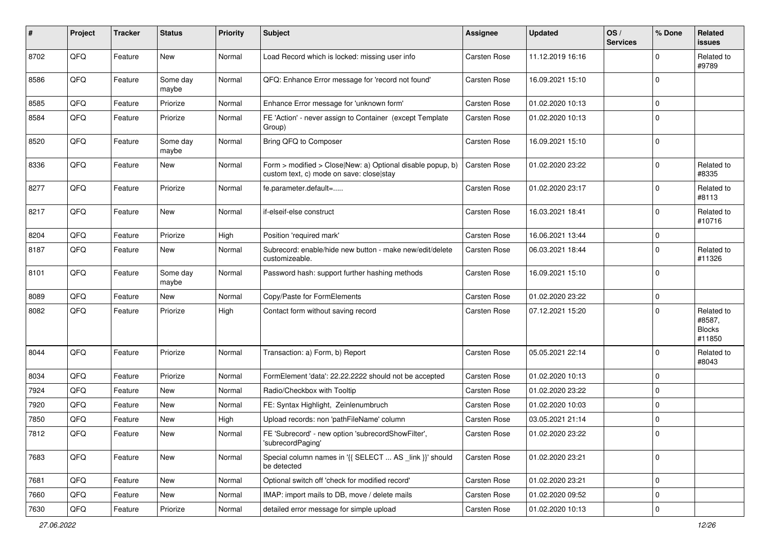| #    | Project | <b>Tracker</b> | <b>Status</b>     | <b>Priority</b> | <b>Subject</b>                                                                                         | <b>Assignee</b>     | <b>Updated</b>   | OS/<br><b>Services</b> | % Done      | <b>Related</b><br>issues                        |
|------|---------|----------------|-------------------|-----------------|--------------------------------------------------------------------------------------------------------|---------------------|------------------|------------------------|-------------|-------------------------------------------------|
| 8702 | QFQ     | Feature        | New               | Normal          | Load Record which is locked: missing user info                                                         | Carsten Rose        | 11.12.2019 16:16 |                        | $\Omega$    | Related to<br>#9789                             |
| 8586 | QFQ     | Feature        | Some day<br>maybe | Normal          | QFQ: Enhance Error message for 'record not found'                                                      | Carsten Rose        | 16.09.2021 15:10 |                        | $\mathbf 0$ |                                                 |
| 8585 | QFQ     | Feature        | Priorize          | Normal          | Enhance Error message for 'unknown form'                                                               | Carsten Rose        | 01.02.2020 10:13 |                        | $\Omega$    |                                                 |
| 8584 | QFQ     | Feature        | Priorize          | Normal          | FE 'Action' - never assign to Container (except Template<br>Group)                                     | <b>Carsten Rose</b> | 01.02.2020 10:13 |                        | $\Omega$    |                                                 |
| 8520 | QFQ     | Feature        | Some day<br>maybe | Normal          | Bring QFQ to Composer                                                                                  | Carsten Rose        | 16.09.2021 15:10 |                        | $\Omega$    |                                                 |
| 8336 | QFQ     | Feature        | New               | Normal          | Form > modified > Close New: a) Optional disable popup, b)<br>custom text, c) mode on save: close stay | Carsten Rose        | 01.02.2020 23:22 |                        | $\mathbf 0$ | Related to<br>#8335                             |
| 8277 | QFQ     | Feature        | Priorize          | Normal          | fe.parameter.default=                                                                                  | Carsten Rose        | 01.02.2020 23:17 |                        | $\mathbf 0$ | Related to<br>#8113                             |
| 8217 | QFQ     | Feature        | New               | Normal          | if-elseif-else construct                                                                               | Carsten Rose        | 16.03.2021 18:41 |                        | $\mathbf 0$ | Related to<br>#10716                            |
| 8204 | QFQ     | Feature        | Priorize          | High            | Position 'required mark'                                                                               | Carsten Rose        | 16.06.2021 13:44 |                        | $\mathbf 0$ |                                                 |
| 8187 | QFQ     | Feature        | New               | Normal          | Subrecord: enable/hide new button - make new/edit/delete<br>customizeable.                             | <b>Carsten Rose</b> | 06.03.2021 18:44 |                        | $\mathbf 0$ | Related to<br>#11326                            |
| 8101 | QFQ     | Feature        | Some day<br>maybe | Normal          | Password hash: support further hashing methods                                                         | Carsten Rose        | 16.09.2021 15:10 |                        | $\Omega$    |                                                 |
| 8089 | QFQ     | Feature        | New               | Normal          | Copy/Paste for FormElements                                                                            | <b>Carsten Rose</b> | 01.02.2020 23:22 |                        | $\mathbf 0$ |                                                 |
| 8082 | QFQ     | Feature        | Priorize          | High            | Contact form without saving record                                                                     | <b>Carsten Rose</b> | 07.12.2021 15:20 |                        | $\Omega$    | Related to<br>#8587,<br><b>Blocks</b><br>#11850 |
| 8044 | QFQ     | Feature        | Priorize          | Normal          | Transaction: a) Form, b) Report                                                                        | Carsten Rose        | 05.05.2021 22:14 |                        | $\mathbf 0$ | Related to<br>#8043                             |
| 8034 | QFQ     | Feature        | Priorize          | Normal          | FormElement 'data': 22.22.2222 should not be accepted                                                  | Carsten Rose        | 01.02.2020 10:13 |                        | $\mathbf 0$ |                                                 |
| 7924 | QFQ     | Feature        | New               | Normal          | Radio/Checkbox with Tooltip                                                                            | Carsten Rose        | 01.02.2020 23:22 |                        | $\Omega$    |                                                 |
| 7920 | QFQ     | Feature        | New               | Normal          | FE: Syntax Highlight, Zeinlenumbruch                                                                   | Carsten Rose        | 01.02.2020 10:03 |                        | $\mathbf 0$ |                                                 |
| 7850 | QFQ     | Feature        | New               | High            | Upload records: non 'pathFileName' column                                                              | Carsten Rose        | 03.05.2021 21:14 |                        | $\mathbf 0$ |                                                 |
| 7812 | QFQ     | Feature        | New               | Normal          | FE 'Subrecord' - new option 'subrecordShowFilter',<br>'subrecordPaging'                                | Carsten Rose        | 01.02.2020 23:22 |                        | $\Omega$    |                                                 |
| 7683 | QFQ     | Feature        | New               | Normal          | Special column names in '{{ SELECT  AS _link }}' should<br>be detected                                 | Carsten Rose        | 01.02.2020 23:21 |                        | $\mathbf 0$ |                                                 |
| 7681 | QFQ     | Feature        | New               | Normal          | Optional switch off 'check for modified record'                                                        | Carsten Rose        | 01.02.2020 23:21 |                        | $\mathbf 0$ |                                                 |
| 7660 | QFQ     | Feature        | New               | Normal          | IMAP: import mails to DB, move / delete mails                                                          | Carsten Rose        | 01.02.2020 09:52 |                        | 0           |                                                 |
| 7630 | QFG     | Feature        | Priorize          | Normal          | detailed error message for simple upload                                                               | Carsten Rose        | 01.02.2020 10:13 |                        | $\mathbf 0$ |                                                 |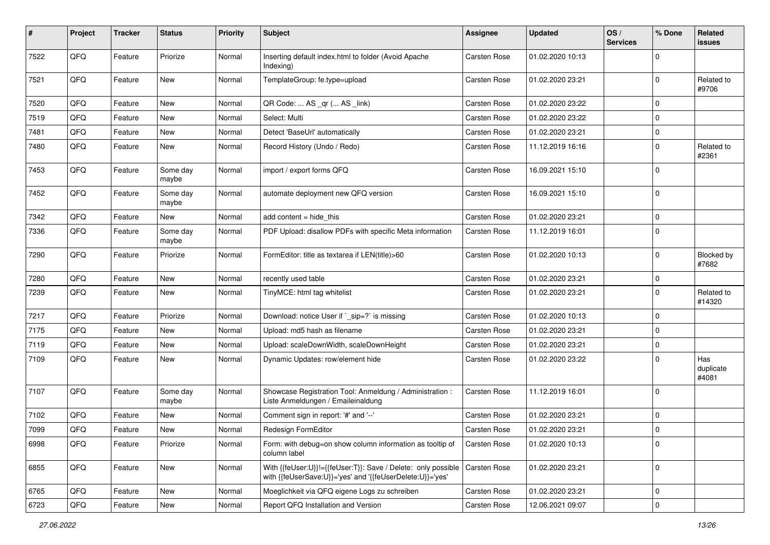| #    | Project | <b>Tracker</b> | <b>Status</b>     | <b>Priority</b> | <b>Subject</b>                                                                                                             | <b>Assignee</b>     | <b>Updated</b>   | OS/<br><b>Services</b> | % Done         | Related<br><b>issues</b>  |
|------|---------|----------------|-------------------|-----------------|----------------------------------------------------------------------------------------------------------------------------|---------------------|------------------|------------------------|----------------|---------------------------|
| 7522 | QFQ     | Feature        | Priorize          | Normal          | Inserting default index.html to folder (Avoid Apache<br>Indexing)                                                          | Carsten Rose        | 01.02.2020 10:13 |                        | $\mathbf 0$    |                           |
| 7521 | QFQ     | Feature        | New               | Normal          | TemplateGroup: fe.type=upload                                                                                              | Carsten Rose        | 01.02.2020 23:21 |                        | $\overline{0}$ | Related to<br>#9706       |
| 7520 | QFQ     | Feature        | <b>New</b>        | Normal          | QR Code:  AS _qr ( AS _link)                                                                                               | Carsten Rose        | 01.02.2020 23:22 |                        | $\mathbf 0$    |                           |
| 7519 | QFQ     | Feature        | New               | Normal          | Select: Multi                                                                                                              | Carsten Rose        | 01.02.2020 23:22 |                        | $\pmb{0}$      |                           |
| 7481 | QFQ     | Feature        | New               | Normal          | Detect 'BaseUrl' automatically                                                                                             | Carsten Rose        | 01.02.2020 23:21 |                        | $\mathbf 0$    |                           |
| 7480 | QFQ     | Feature        | New               | Normal          | Record History (Undo / Redo)                                                                                               | Carsten Rose        | 11.12.2019 16:16 |                        | $\mathbf 0$    | Related to<br>#2361       |
| 7453 | QFQ     | Feature        | Some day<br>maybe | Normal          | import / export forms QFQ                                                                                                  | Carsten Rose        | 16.09.2021 15:10 |                        | $\mathbf 0$    |                           |
| 7452 | QFQ     | Feature        | Some day<br>maybe | Normal          | automate deployment new QFQ version                                                                                        | Carsten Rose        | 16.09.2021 15:10 |                        | $\mathbf 0$    |                           |
| 7342 | QFQ     | Feature        | New               | Normal          | add content $=$ hide this                                                                                                  | Carsten Rose        | 01.02.2020 23:21 |                        | $\mathbf 0$    |                           |
| 7336 | QFQ     | Feature        | Some day<br>maybe | Normal          | PDF Upload: disallow PDFs with specific Meta information                                                                   | Carsten Rose        | 11.12.2019 16:01 |                        | $\mathbf 0$    |                           |
| 7290 | QFQ     | Feature        | Priorize          | Normal          | FormEditor: title as textarea if LEN(title)>60                                                                             | Carsten Rose        | 01.02.2020 10:13 |                        | $\mathbf 0$    | Blocked by<br>#7682       |
| 7280 | QFQ     | Feature        | <b>New</b>        | Normal          | recently used table                                                                                                        | Carsten Rose        | 01.02.2020 23:21 |                        | $\mathbf 0$    |                           |
| 7239 | QFQ     | Feature        | New               | Normal          | TinyMCE: html tag whitelist                                                                                                | Carsten Rose        | 01.02.2020 23:21 |                        | $\mathbf 0$    | Related to<br>#14320      |
| 7217 | QFQ     | Feature        | Priorize          | Normal          | Download: notice User if `_sip=?` is missing                                                                               | Carsten Rose        | 01.02.2020 10:13 |                        | $\mathbf 0$    |                           |
| 7175 | QFQ     | Feature        | New               | Normal          | Upload: md5 hash as filename                                                                                               | Carsten Rose        | 01.02.2020 23:21 |                        | $\mathbf 0$    |                           |
| 7119 | QFQ     | Feature        | New               | Normal          | Upload: scaleDownWidth, scaleDownHeight                                                                                    | Carsten Rose        | 01.02.2020 23:21 |                        | $\mathbf 0$    |                           |
| 7109 | QFQ     | Feature        | New               | Normal          | Dynamic Updates: row/element hide                                                                                          | Carsten Rose        | 01.02.2020 23:22 |                        | $\overline{0}$ | Has<br>duplicate<br>#4081 |
| 7107 | QFQ     | Feature        | Some day<br>maybe | Normal          | Showcase Registration Tool: Anmeldung / Administration :<br>Liste Anmeldungen / Emaileinaldung                             | Carsten Rose        | 11.12.2019 16:01 |                        | $\mathbf 0$    |                           |
| 7102 | QFQ     | Feature        | New               | Normal          | Comment sign in report: '#' and '--'                                                                                       | Carsten Rose        | 01.02.2020 23:21 |                        | $\mathbf 0$    |                           |
| 7099 | QFQ     | Feature        | New               | Normal          | Redesign FormEditor                                                                                                        | Carsten Rose        | 01.02.2020 23:21 |                        | $\mathbf 0$    |                           |
| 6998 | QFQ     | Feature        | Priorize          | Normal          | Form: with debug=on show column information as tooltip of<br>column label                                                  | Carsten Rose        | 01.02.2020 10:13 |                        | $\mathbf 0$    |                           |
| 6855 | QFG     | Feature        | New               | Normal          | With {{feUser:U}}!={{feUser:T}}: Save / Delete: only possible<br>with {{feUserSave:U}}='yes' and '{{feUserDelete:U}}='yes' | Carsten Rose        | 01.02.2020 23:21 |                        | $\mathbf 0$    |                           |
| 6765 | QFQ     | Feature        | New               | Normal          | Moeglichkeit via QFQ eigene Logs zu schreiben                                                                              | Carsten Rose        | 01.02.2020 23:21 |                        | $\mathbf 0$    |                           |
| 6723 | QFQ     | Feature        | New               | Normal          | Report QFQ Installation and Version                                                                                        | <b>Carsten Rose</b> | 12.06.2021 09:07 |                        | $\mathbf 0$    |                           |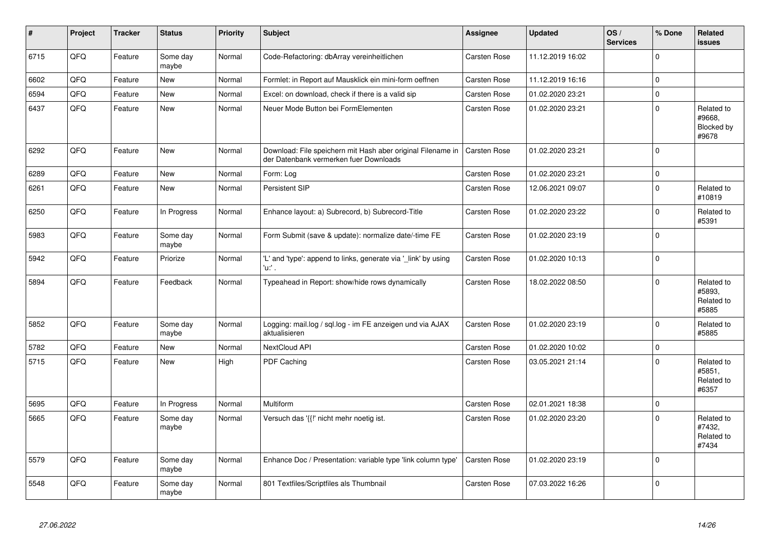| $\vert$ # | Project | <b>Tracker</b> | <b>Status</b>     | <b>Priority</b> | <b>Subject</b>                                                                                        | <b>Assignee</b>     | <b>Updated</b>   | OS/<br><b>Services</b> | % Done      | Related<br>issues                           |
|-----------|---------|----------------|-------------------|-----------------|-------------------------------------------------------------------------------------------------------|---------------------|------------------|------------------------|-------------|---------------------------------------------|
| 6715      | QFQ     | Feature        | Some day<br>maybe | Normal          | Code-Refactoring: dbArray vereinheitlichen                                                            | Carsten Rose        | 11.12.2019 16:02 |                        | $\mathbf 0$ |                                             |
| 6602      | QFQ     | Feature        | <b>New</b>        | Normal          | Formlet: in Report auf Mausklick ein mini-form oeffnen                                                | <b>Carsten Rose</b> | 11.12.2019 16:16 |                        | $\pmb{0}$   |                                             |
| 6594      | QFQ     | Feature        | New               | Normal          | Excel: on download, check if there is a valid sip                                                     | <b>Carsten Rose</b> | 01.02.2020 23:21 |                        | $\pmb{0}$   |                                             |
| 6437      | QFQ     | Feature        | New               | Normal          | Neuer Mode Button bei FormElementen                                                                   | Carsten Rose        | 01.02.2020 23:21 |                        | $\pmb{0}$   | Related to<br>#9668.<br>Blocked by<br>#9678 |
| 6292      | QFQ     | Feature        | New               | Normal          | Download: File speichern mit Hash aber original Filename in<br>der Datenbank vermerken fuer Downloads | <b>Carsten Rose</b> | 01.02.2020 23:21 |                        | $\pmb{0}$   |                                             |
| 6289      | QFQ     | Feature        | New               | Normal          | Form: Log                                                                                             | Carsten Rose        | 01.02.2020 23:21 |                        | $\pmb{0}$   |                                             |
| 6261      | QFQ     | Feature        | New               | Normal          | Persistent SIP                                                                                        | Carsten Rose        | 12.06.2021 09:07 |                        | $\pmb{0}$   | Related to<br>#10819                        |
| 6250      | QFQ     | Feature        | In Progress       | Normal          | Enhance layout: a) Subrecord, b) Subrecord-Title                                                      | Carsten Rose        | 01.02.2020 23:22 |                        | $\pmb{0}$   | Related to<br>#5391                         |
| 5983      | QFQ     | Feature        | Some day<br>maybe | Normal          | Form Submit (save & update): normalize date/-time FE                                                  | Carsten Rose        | 01.02.2020 23:19 |                        | $\pmb{0}$   |                                             |
| 5942      | QFQ     | Feature        | Priorize          | Normal          | 'L' and 'type': append to links, generate via '_link' by using<br>'u:' .                              | <b>Carsten Rose</b> | 01.02.2020 10:13 |                        | $\mathbf 0$ |                                             |
| 5894      | QFQ     | Feature        | Feedback          | Normal          | Typeahead in Report: show/hide rows dynamically                                                       | Carsten Rose        | 18.02.2022 08:50 |                        | $\mathbf 0$ | Related to<br>#5893,<br>Related to<br>#5885 |
| 5852      | QFQ     | Feature        | Some day<br>maybe | Normal          | Logging: mail.log / sql.log - im FE anzeigen und via AJAX<br>aktualisieren                            | Carsten Rose        | 01.02.2020 23:19 |                        | $\pmb{0}$   | Related to<br>#5885                         |
| 5782      | QFQ     | Feature        | <b>New</b>        | Normal          | NextCloud API                                                                                         | <b>Carsten Rose</b> | 01.02.2020 10:02 |                        | $\pmb{0}$   |                                             |
| 5715      | QFQ     | Feature        | New               | High            | PDF Caching                                                                                           | Carsten Rose        | 03.05.2021 21:14 |                        | $\Omega$    | Related to<br>#5851,<br>Related to<br>#6357 |
| 5695      | QFQ     | Feature        | In Progress       | Normal          | <b>Multiform</b>                                                                                      | <b>Carsten Rose</b> | 02.01.2021 18:38 |                        | $\pmb{0}$   |                                             |
| 5665      | QFQ     | Feature        | Some day<br>maybe | Normal          | Versuch das '{{!' nicht mehr noetig ist.                                                              | Carsten Rose        | 01.02.2020 23:20 |                        | $\pmb{0}$   | Related to<br>#7432.<br>Related to<br>#7434 |
| 5579      | QFQ     | Feature        | Some day<br>maybe | Normal          | Enhance Doc / Presentation: variable type 'link column type'                                          | Carsten Rose        | 01.02.2020 23:19 |                        | $\pmb{0}$   |                                             |
| 5548      | QFQ     | Feature        | Some day<br>maybe | Normal          | 801 Textfiles/Scriptfiles als Thumbnail                                                               | <b>Carsten Rose</b> | 07.03.2022 16:26 |                        | $\Omega$    |                                             |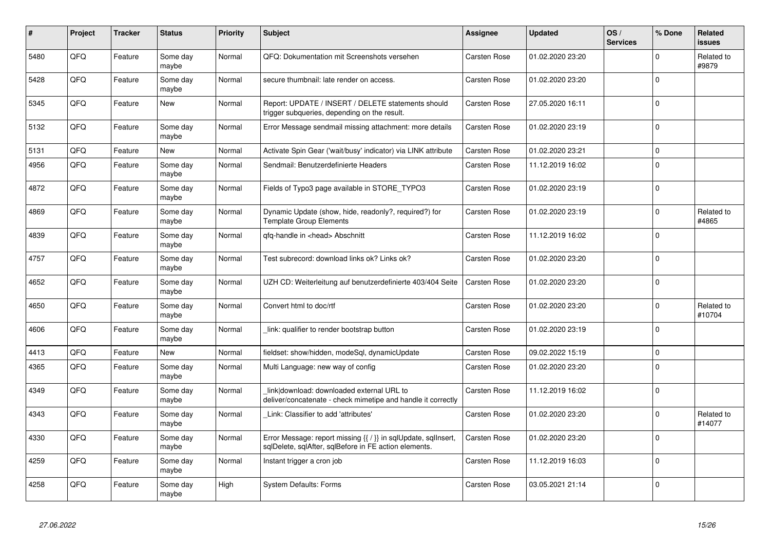| #    | Project | <b>Tracker</b> | <b>Status</b>     | <b>Priority</b> | <b>Subject</b>                                                                                                          | <b>Assignee</b>     | <b>Updated</b>   | OS/<br><b>Services</b> | % Done         | <b>Related</b><br><b>issues</b> |
|------|---------|----------------|-------------------|-----------------|-------------------------------------------------------------------------------------------------------------------------|---------------------|------------------|------------------------|----------------|---------------------------------|
| 5480 | QFQ     | Feature        | Some day<br>maybe | Normal          | QFQ: Dokumentation mit Screenshots versehen                                                                             | Carsten Rose        | 01.02.2020 23:20 |                        | $\mathbf{0}$   | Related to<br>#9879             |
| 5428 | QFQ     | Feature        | Some day<br>maybe | Normal          | secure thumbnail: late render on access.                                                                                | Carsten Rose        | 01.02.2020 23:20 |                        | $\mathbf{0}$   |                                 |
| 5345 | QFQ     | Feature        | New               | Normal          | Report: UPDATE / INSERT / DELETE statements should<br>trigger subqueries, depending on the result.                      | Carsten Rose        | 27.05.2020 16:11 |                        | $\mathbf 0$    |                                 |
| 5132 | QFQ     | Feature        | Some day<br>maybe | Normal          | Error Message sendmail missing attachment: more details                                                                 | Carsten Rose        | 01.02.2020 23:19 |                        | $\overline{0}$ |                                 |
| 5131 | QFQ     | Feature        | <b>New</b>        | Normal          | Activate Spin Gear ('wait/busy' indicator) via LINK attribute                                                           | Carsten Rose        | 01.02.2020 23:21 |                        | $\mathbf 0$    |                                 |
| 4956 | QFQ     | Feature        | Some day<br>maybe | Normal          | Sendmail: Benutzerdefinierte Headers                                                                                    | Carsten Rose        | 11.12.2019 16:02 |                        | $\mathbf{0}$   |                                 |
| 4872 | QFQ     | Feature        | Some day<br>maybe | Normal          | Fields of Typo3 page available in STORE TYPO3                                                                           | Carsten Rose        | 01.02.2020 23:19 |                        | $\mathbf 0$    |                                 |
| 4869 | QFQ     | Feature        | Some day<br>maybe | Normal          | Dynamic Update (show, hide, readonly?, required?) for<br><b>Template Group Elements</b>                                 | Carsten Rose        | 01.02.2020 23:19 |                        | $\mathbf{0}$   | Related to<br>#4865             |
| 4839 | QFQ     | Feature        | Some day<br>maybe | Normal          | qfq-handle in <head> Abschnitt</head>                                                                                   | Carsten Rose        | 11.12.2019 16:02 |                        | $\mathbf{0}$   |                                 |
| 4757 | QFQ     | Feature        | Some day<br>maybe | Normal          | Test subrecord: download links ok? Links ok?                                                                            | Carsten Rose        | 01.02.2020 23:20 |                        | $\mathbf{0}$   |                                 |
| 4652 | QFQ     | Feature        | Some day<br>maybe | Normal          | UZH CD: Weiterleitung auf benutzerdefinierte 403/404 Seite                                                              | <b>Carsten Rose</b> | 01.02.2020 23:20 |                        | $\mathbf{0}$   |                                 |
| 4650 | QFQ     | Feature        | Some day<br>maybe | Normal          | Convert html to doc/rtf                                                                                                 | Carsten Rose        | 01.02.2020 23:20 |                        | $\Omega$       | Related to<br>#10704            |
| 4606 | QFQ     | Feature        | Some day<br>maybe | Normal          | link: qualifier to render bootstrap button                                                                              | Carsten Rose        | 01.02.2020 23:19 |                        | $\mathbf{0}$   |                                 |
| 4413 | QFQ     | Feature        | <b>New</b>        | Normal          | fieldset: show/hidden, modeSql, dynamicUpdate                                                                           | Carsten Rose        | 09.02.2022 15:19 |                        | $\mathbf{0}$   |                                 |
| 4365 | QFQ     | Feature        | Some day<br>maybe | Normal          | Multi Language: new way of config                                                                                       | <b>Carsten Rose</b> | 01.02.2020 23:20 |                        | $\mathbf 0$    |                                 |
| 4349 | QFQ     | Feature        | Some day<br>maybe | Normal          | link download: downloaded external URL to<br>deliver/concatenate - check mimetipe and handle it correctly               | Carsten Rose        | 11.12.2019 16:02 |                        | $\overline{0}$ |                                 |
| 4343 | QFQ     | Feature        | Some day<br>maybe | Normal          | Link: Classifier to add 'attributes'                                                                                    | Carsten Rose        | 01.02.2020 23:20 |                        | $\Omega$       | Related to<br>#14077            |
| 4330 | QFQ     | Feature        | Some day<br>maybe | Normal          | Error Message: report missing {{ / }} in sqlUpdate, sqlInsert,<br>sglDelete, sglAfter, sglBefore in FE action elements. | Carsten Rose        | 01.02.2020 23:20 |                        | $\mathbf 0$    |                                 |
| 4259 | QFQ     | Feature        | Some day<br>maybe | Normal          | Instant trigger a cron job                                                                                              | Carsten Rose        | 11.12.2019 16:03 |                        | $\mathbf{0}$   |                                 |
| 4258 | QFQ     | Feature        | Some day<br>maybe | High            | <b>System Defaults: Forms</b>                                                                                           | Carsten Rose        | 03.05.2021 21:14 |                        | $\overline{0}$ |                                 |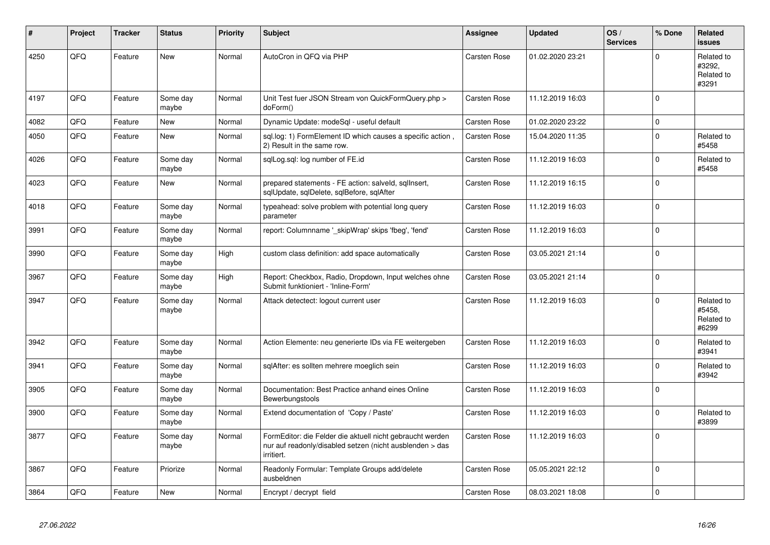| #    | Project | <b>Tracker</b> | <b>Status</b>     | <b>Priority</b> | <b>Subject</b>                                                                                                                      | Assignee     | <b>Updated</b>   | OS/<br><b>Services</b> | % Done      | Related<br><b>issues</b>                    |
|------|---------|----------------|-------------------|-----------------|-------------------------------------------------------------------------------------------------------------------------------------|--------------|------------------|------------------------|-------------|---------------------------------------------|
| 4250 | QFQ     | Feature        | <b>New</b>        | Normal          | AutoCron in QFQ via PHP                                                                                                             | Carsten Rose | 01.02.2020 23:21 |                        | $\Omega$    | Related to<br>#3292,<br>Related to<br>#3291 |
| 4197 | QFQ     | Feature        | Some day<br>maybe | Normal          | Unit Test fuer JSON Stream von QuickFormQuery.php ><br>doForm()                                                                     | Carsten Rose | 11.12.2019 16:03 |                        | $\mathbf 0$ |                                             |
| 4082 | QFQ     | Feature        | New               | Normal          | Dynamic Update: modeSql - useful default                                                                                            | Carsten Rose | 01.02.2020 23:22 |                        | $\pmb{0}$   |                                             |
| 4050 | QFQ     | Feature        | <b>New</b>        | Normal          | sgl.log: 1) FormElement ID which causes a specific action,<br>2) Result in the same row.                                            | Carsten Rose | 15.04.2020 11:35 |                        | $\mathbf 0$ | Related to<br>#5458                         |
| 4026 | QFQ     | Feature        | Some day<br>maybe | Normal          | sqlLog.sql: log number of FE.id                                                                                                     | Carsten Rose | 11.12.2019 16:03 |                        | $\Omega$    | Related to<br>#5458                         |
| 4023 | QFQ     | Feature        | New               | Normal          | prepared statements - FE action: salveld, sqllnsert,<br>sqlUpdate, sqlDelete, sqlBefore, sqlAfter                                   | Carsten Rose | 11.12.2019 16:15 |                        | $\Omega$    |                                             |
| 4018 | QFQ     | Feature        | Some day<br>maybe | Normal          | typeahead: solve problem with potential long query<br>parameter                                                                     | Carsten Rose | 11.12.2019 16:03 |                        | $\mathbf 0$ |                                             |
| 3991 | QFQ     | Feature        | Some day<br>maybe | Normal          | report: Columnname ' skipWrap' skips 'fbeg', 'fend'                                                                                 | Carsten Rose | 11.12.2019 16:03 |                        | $\mathbf 0$ |                                             |
| 3990 | QFQ     | Feature        | Some day<br>maybe | High            | custom class definition: add space automatically                                                                                    | Carsten Rose | 03.05.2021 21:14 |                        | $\mathbf 0$ |                                             |
| 3967 | QFQ     | Feature        | Some day<br>maybe | High            | Report: Checkbox, Radio, Dropdown, Input welches ohne<br>Submit funktioniert - 'Inline-Form'                                        | Carsten Rose | 03.05.2021 21:14 |                        | $\mathbf 0$ |                                             |
| 3947 | QFQ     | Feature        | Some day<br>maybe | Normal          | Attack detectect: logout current user                                                                                               | Carsten Rose | 11.12.2019 16:03 |                        | $\Omega$    | Related to<br>#5458.<br>Related to<br>#6299 |
| 3942 | QFQ     | Feature        | Some day<br>maybe | Normal          | Action Elemente: neu generierte IDs via FE weitergeben                                                                              | Carsten Rose | 11.12.2019 16:03 |                        | $\mathbf 0$ | Related to<br>#3941                         |
| 3941 | QFQ     | Feature        | Some day<br>maybe | Normal          | sqlAfter: es sollten mehrere moeglich sein                                                                                          | Carsten Rose | 11.12.2019 16:03 |                        | $\mathbf 0$ | Related to<br>#3942                         |
| 3905 | QFQ     | Feature        | Some day<br>maybe | Normal          | Documentation: Best Practice anhand eines Online<br>Bewerbungstools                                                                 | Carsten Rose | 11.12.2019 16:03 |                        | $\mathbf 0$ |                                             |
| 3900 | QFQ     | Feature        | Some day<br>maybe | Normal          | Extend documentation of 'Copy / Paste'                                                                                              | Carsten Rose | 11.12.2019 16:03 |                        | $\Omega$    | Related to<br>#3899                         |
| 3877 | QFQ     | Feature        | Some day<br>maybe | Normal          | FormEditor: die Felder die aktuell nicht gebraucht werden<br>nur auf readonly/disabled setzen (nicht ausblenden > das<br>irritiert. | Carsten Rose | 11.12.2019 16:03 |                        | $\mathbf 0$ |                                             |
| 3867 | QFQ     | Feature        | Priorize          | Normal          | Readonly Formular: Template Groups add/delete<br>ausbeldnen                                                                         | Carsten Rose | 05.05.2021 22:12 |                        | $\mathbf 0$ |                                             |
| 3864 | QFQ     | Feature        | New               | Normal          | Encrypt / decrypt field                                                                                                             | Carsten Rose | 08.03.2021 18:08 |                        | $\pmb{0}$   |                                             |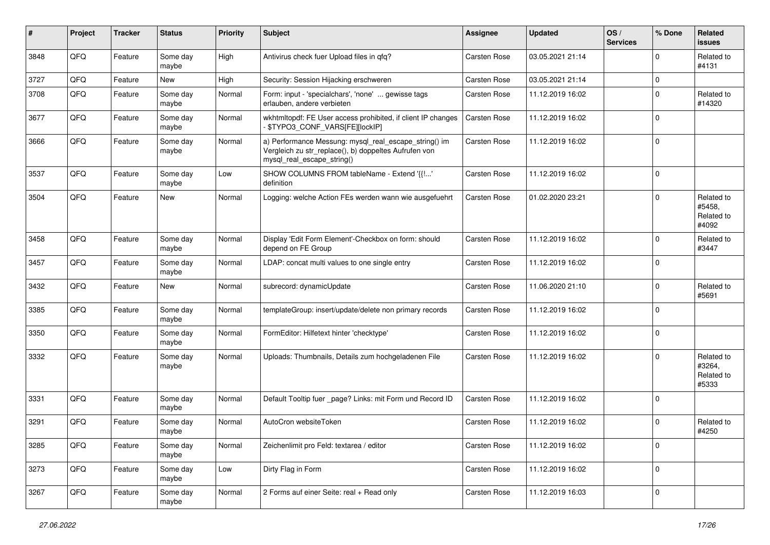| #    | Project | <b>Tracker</b> | <b>Status</b>     | Priority | <b>Subject</b>                                                                                                                               | <b>Assignee</b>     | <b>Updated</b>   | OS/<br><b>Services</b> | % Done      | Related<br><b>issues</b>                    |
|------|---------|----------------|-------------------|----------|----------------------------------------------------------------------------------------------------------------------------------------------|---------------------|------------------|------------------------|-------------|---------------------------------------------|
| 3848 | QFQ     | Feature        | Some day<br>maybe | High     | Antivirus check fuer Upload files in qfq?                                                                                                    | <b>Carsten Rose</b> | 03.05.2021 21:14 |                        | $\mathbf 0$ | Related to<br>#4131                         |
| 3727 | QFQ     | Feature        | New               | High     | Security: Session Hijacking erschweren                                                                                                       | Carsten Rose        | 03.05.2021 21:14 |                        | $\mathbf 0$ |                                             |
| 3708 | QFQ     | Feature        | Some day<br>maybe | Normal   | Form: input - 'specialchars', 'none'  gewisse tags<br>erlauben, andere verbieten                                                             | Carsten Rose        | 11.12.2019 16:02 |                        | $\mathbf 0$ | Related to<br>#14320                        |
| 3677 | QFQ     | Feature        | Some day<br>maybe | Normal   | wkhtmltopdf: FE User access prohibited, if client IP changes<br>- \$TYPO3_CONF_VARS[FE][lockIP]                                              | Carsten Rose        | 11.12.2019 16:02 |                        | $\mathbf 0$ |                                             |
| 3666 | QFQ     | Feature        | Some day<br>maybe | Normal   | a) Performance Messung: mysql_real_escape_string() im<br>Vergleich zu str_replace(), b) doppeltes Aufrufen von<br>mysql_real_escape_string() | Carsten Rose        | 11.12.2019 16:02 |                        | $\mathbf 0$ |                                             |
| 3537 | QFQ     | Feature        | Some day<br>maybe | Low      | SHOW COLUMNS FROM tableName - Extend '{{!'<br>definition                                                                                     | <b>Carsten Rose</b> | 11.12.2019 16:02 |                        | $\mathbf 0$ |                                             |
| 3504 | QFQ     | Feature        | New               | Normal   | Logging: welche Action FEs werden wann wie ausgefuehrt                                                                                       | Carsten Rose        | 01.02.2020 23:21 |                        | $\mathbf 0$ | Related to<br>#5458,<br>Related to<br>#4092 |
| 3458 | QFQ     | Feature        | Some day<br>maybe | Normal   | Display 'Edit Form Element'-Checkbox on form: should<br>depend on FE Group                                                                   | Carsten Rose        | 11.12.2019 16:02 |                        | $\mathbf 0$ | Related to<br>#3447                         |
| 3457 | QFQ     | Feature        | Some day<br>maybe | Normal   | LDAP: concat multi values to one single entry                                                                                                | Carsten Rose        | 11.12.2019 16:02 |                        | $\mathbf 0$ |                                             |
| 3432 | QFQ     | Feature        | New               | Normal   | subrecord: dynamicUpdate                                                                                                                     | Carsten Rose        | 11.06.2020 21:10 |                        | $\mathbf 0$ | Related to<br>#5691                         |
| 3385 | QFQ     | Feature        | Some day<br>maybe | Normal   | templateGroup: insert/update/delete non primary records                                                                                      | Carsten Rose        | 11.12.2019 16:02 |                        | $\mathbf 0$ |                                             |
| 3350 | QFQ     | Feature        | Some day<br>maybe | Normal   | FormEditor: Hilfetext hinter 'checktype'                                                                                                     | Carsten Rose        | 11.12.2019 16:02 |                        | $\mathbf 0$ |                                             |
| 3332 | QFQ     | Feature        | Some day<br>maybe | Normal   | Uploads: Thumbnails, Details zum hochgeladenen File                                                                                          | Carsten Rose        | 11.12.2019 16:02 |                        | $\mathbf 0$ | Related to<br>#3264,<br>Related to<br>#5333 |
| 3331 | QFQ     | Feature        | Some day<br>maybe | Normal   | Default Tooltip fuer _page? Links: mit Form und Record ID                                                                                    | Carsten Rose        | 11.12.2019 16:02 |                        | $\mathbf 0$ |                                             |
| 3291 | QFQ     | Feature        | Some day<br>maybe | Normal   | AutoCron websiteToken                                                                                                                        | <b>Carsten Rose</b> | 11.12.2019 16:02 |                        | $\mathbf 0$ | Related to<br>#4250                         |
| 3285 | QFG     | Feature        | Some day<br>maybe | Normal   | Zeichenlimit pro Feld: textarea / editor                                                                                                     | Carsten Rose        | 11.12.2019 16:02 |                        | $\pmb{0}$   |                                             |
| 3273 | QFQ     | Feature        | Some day<br>maybe | Low      | Dirty Flag in Form                                                                                                                           | Carsten Rose        | 11.12.2019 16:02 |                        | $\pmb{0}$   |                                             |
| 3267 | QFG     | Feature        | Some day<br>maybe | Normal   | 2 Forms auf einer Seite: real + Read only                                                                                                    | Carsten Rose        | 11.12.2019 16:03 |                        | $\mathbf 0$ |                                             |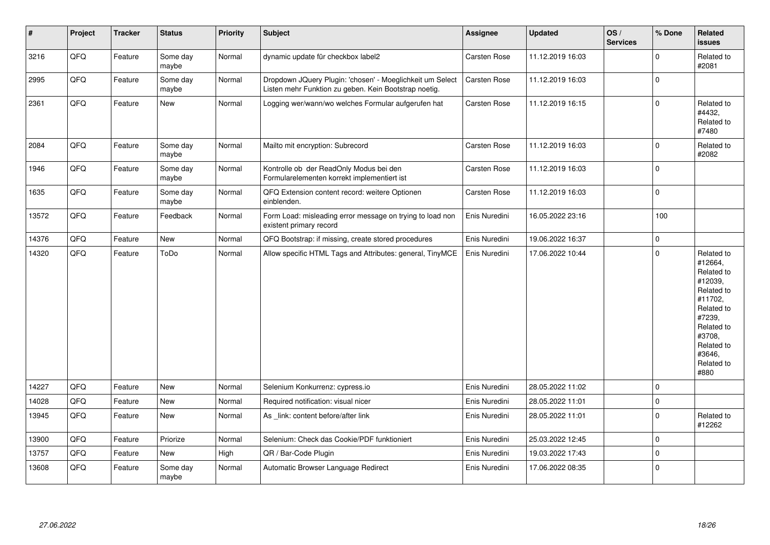| $\sharp$ | Project | <b>Tracker</b> | <b>Status</b>     | <b>Priority</b> | <b>Subject</b>                                                                                                     | Assignee      | <b>Updated</b>   | OS/<br><b>Services</b> | % Done      | Related<br><b>issues</b>                                                                                                                                              |
|----------|---------|----------------|-------------------|-----------------|--------------------------------------------------------------------------------------------------------------------|---------------|------------------|------------------------|-------------|-----------------------------------------------------------------------------------------------------------------------------------------------------------------------|
| 3216     | QFQ     | Feature        | Some day<br>maybe | Normal          | dynamic update für checkbox label2                                                                                 | Carsten Rose  | 11.12.2019 16:03 |                        | $\mathbf 0$ | Related to<br>#2081                                                                                                                                                   |
| 2995     | QFQ     | Feature        | Some day<br>maybe | Normal          | Dropdown JQuery Plugin: 'chosen' - Moeglichkeit um Select<br>Listen mehr Funktion zu geben. Kein Bootstrap noetig. | Carsten Rose  | 11.12.2019 16:03 |                        | $\mathbf 0$ |                                                                                                                                                                       |
| 2361     | QFQ     | Feature        | New               | Normal          | Logging wer/wann/wo welches Formular aufgerufen hat                                                                | Carsten Rose  | 11.12.2019 16:15 |                        | $\mathbf 0$ | Related to<br>#4432,<br>Related to<br>#7480                                                                                                                           |
| 2084     | QFG     | Feature        | Some day<br>maybe | Normal          | Mailto mit encryption: Subrecord                                                                                   | Carsten Rose  | 11.12.2019 16:03 |                        | $\mathbf 0$ | Related to<br>#2082                                                                                                                                                   |
| 1946     | QFQ     | Feature        | Some day<br>maybe | Normal          | Kontrolle ob der ReadOnly Modus bei den<br>Formularelementen korrekt implementiert ist                             | Carsten Rose  | 11.12.2019 16:03 |                        | $\mathbf 0$ |                                                                                                                                                                       |
| 1635     | QFQ     | Feature        | Some day<br>maybe | Normal          | QFQ Extension content record: weitere Optionen<br>einblenden.                                                      | Carsten Rose  | 11.12.2019 16:03 |                        | $\mathbf 0$ |                                                                                                                                                                       |
| 13572    | QFQ     | Feature        | Feedback          | Normal          | Form Load: misleading error message on trying to load non<br>existent primary record                               | Enis Nuredini | 16.05.2022 23:16 |                        | 100         |                                                                                                                                                                       |
| 14376    | QFQ     | Feature        | <b>New</b>        | Normal          | QFQ Bootstrap: if missing, create stored procedures                                                                | Enis Nuredini | 19.06.2022 16:37 |                        | $\mathbf 0$ |                                                                                                                                                                       |
| 14320    | QFQ     | Feature        | ToDo              | Normal          | Allow specific HTML Tags and Attributes: general, TinyMCE                                                          | Enis Nuredini | 17.06.2022 10:44 |                        | $\mathbf 0$ | Related to<br>#12664,<br>Related to<br>#12039,<br>Related to<br>#11702,<br>Related to<br>#7239,<br>Related to<br>#3708,<br>Related to<br>#3646,<br>Related to<br>#880 |
| 14227    | QFQ     | Feature        | <b>New</b>        | Normal          | Selenium Konkurrenz: cypress.io                                                                                    | Enis Nuredini | 28.05.2022 11:02 |                        | $\mathbf 0$ |                                                                                                                                                                       |
| 14028    | QFQ     | Feature        | <b>New</b>        | Normal          | Required notification: visual nicer                                                                                | Enis Nuredini | 28.05.2022 11:01 |                        | $\mathbf 0$ |                                                                                                                                                                       |
| 13945    | QFQ     | Feature        | New               | Normal          | As link: content before/after link                                                                                 | Enis Nuredini | 28.05.2022 11:01 |                        | $\pmb{0}$   | Related to<br>#12262                                                                                                                                                  |
| 13900    | QFQ     | Feature        | Priorize          | Normal          | Selenium: Check das Cookie/PDF funktioniert                                                                        | Enis Nuredini | 25.03.2022 12:45 |                        | $\mathbf 0$ |                                                                                                                                                                       |
| 13757    | QFQ     | Feature        | New               | High            | QR / Bar-Code Plugin                                                                                               | Enis Nuredini | 19.03.2022 17:43 |                        | $\pmb{0}$   |                                                                                                                                                                       |
| 13608    | QFQ     | Feature        | Some day<br>maybe | Normal          | Automatic Browser Language Redirect                                                                                | Enis Nuredini | 17.06.2022 08:35 |                        | $\pmb{0}$   |                                                                                                                                                                       |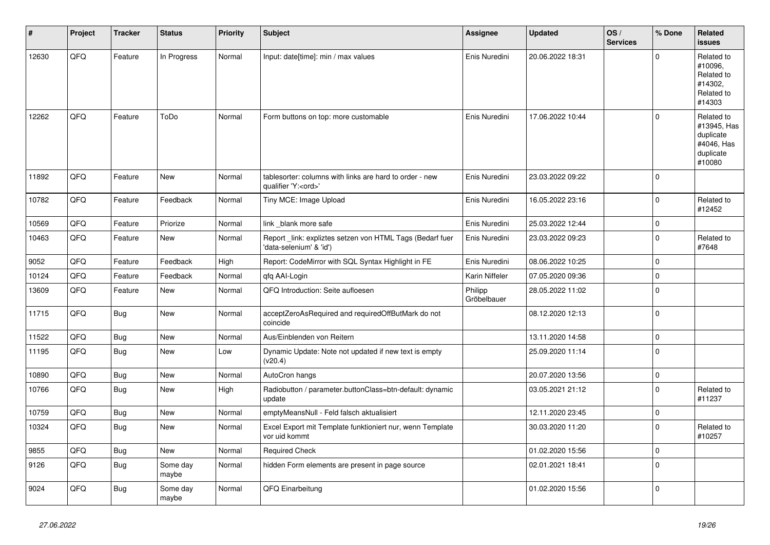| ∦     | Project | <b>Tracker</b> | <b>Status</b>     | <b>Priority</b> | <b>Subject</b>                                                                        | <b>Assignee</b>        | <b>Updated</b>   | OS/<br><b>Services</b> | % Done       | Related<br><b>issues</b>                                                    |
|-------|---------|----------------|-------------------|-----------------|---------------------------------------------------------------------------------------|------------------------|------------------|------------------------|--------------|-----------------------------------------------------------------------------|
| 12630 | QFQ     | Feature        | In Progress       | Normal          | Input: date[time]: min / max values                                                   | Enis Nuredini          | 20.06.2022 18:31 |                        | $\mathbf{0}$ | Related to<br>#10096,<br>Related to<br>#14302,<br>Related to<br>#14303      |
| 12262 | QFQ     | Feature        | ToDo              | Normal          | Form buttons on top: more customable                                                  | Enis Nuredini          | 17.06.2022 10:44 |                        | $\mathbf 0$  | Related to<br>#13945, Has<br>duplicate<br>#4046, Has<br>duplicate<br>#10080 |
| 11892 | QFQ     | Feature        | <b>New</b>        | Normal          | tablesorter: columns with links are hard to order - new<br>qualifier 'Y: <ord>'</ord> | Enis Nuredini          | 23.03.2022 09:22 |                        | $\mathbf{0}$ |                                                                             |
| 10782 | QFQ     | Feature        | Feedback          | Normal          | Tiny MCE: Image Upload                                                                | Enis Nuredini          | 16.05.2022 23:16 |                        | $\pmb{0}$    | Related to<br>#12452                                                        |
| 10569 | QFQ     | Feature        | Priorize          | Normal          | link blank more safe                                                                  | Enis Nuredini          | 25.03.2022 12:44 |                        | $\pmb{0}$    |                                                                             |
| 10463 | QFQ     | Feature        | New               | Normal          | Report link: expliztes setzen von HTML Tags (Bedarf fuer<br>'data-selenium' & 'id')   | Enis Nuredini          | 23.03.2022 09:23 |                        | $\pmb{0}$    | Related to<br>#7648                                                         |
| 9052  | QFQ     | Feature        | Feedback          | High            | Report: CodeMirror with SQL Syntax Highlight in FE                                    | Enis Nuredini          | 08.06.2022 10:25 |                        | $\mathbf{0}$ |                                                                             |
| 10124 | QFQ     | Feature        | Feedback          | Normal          | qfq AAI-Login                                                                         | Karin Niffeler         | 07.05.2020 09:36 |                        | $\pmb{0}$    |                                                                             |
| 13609 | QFQ     | Feature        | <b>New</b>        | Normal          | QFQ Introduction: Seite aufloesen                                                     | Philipp<br>Gröbelbauer | 28.05.2022 11:02 |                        | $\mathbf{0}$ |                                                                             |
| 11715 | QFQ     | Bug            | New               | Normal          | acceptZeroAsRequired and requiredOffButMark do not<br>coincide                        |                        | 08.12.2020 12:13 |                        | $\pmb{0}$    |                                                                             |
| 11522 | QFQ     | <b>Bug</b>     | New               | Normal          | Aus/Einblenden von Reitern                                                            |                        | 13.11.2020 14:58 |                        | $\pmb{0}$    |                                                                             |
| 11195 | QFQ     | <b>Bug</b>     | <b>New</b>        | Low             | Dynamic Update: Note not updated if new text is empty<br>(v20.4)                      |                        | 25.09.2020 11:14 |                        | $\pmb{0}$    |                                                                             |
| 10890 | QFQ     | Bug            | New               | Normal          | AutoCron hangs                                                                        |                        | 20.07.2020 13:56 |                        | $\pmb{0}$    |                                                                             |
| 10766 | QFQ     | <b>Bug</b>     | <b>New</b>        | High            | Radiobutton / parameter.buttonClass=btn-default: dynamic<br>update                    |                        | 03.05.2021 21:12 |                        | $\mathbf{0}$ | Related to<br>#11237                                                        |
| 10759 | QFQ     | <b>Bug</b>     | New               | Normal          | emptyMeansNull - Feld falsch aktualisiert                                             |                        | 12.11.2020 23:45 |                        | 0            |                                                                             |
| 10324 | QFQ     | Bug            | New               | Normal          | Excel Export mit Template funktioniert nur, wenn Template<br>vor uid kommt            |                        | 30.03.2020 11:20 |                        | $\mathbf{0}$ | Related to<br>#10257                                                        |
| 9855  | QFQ     | <b>Bug</b>     | <b>New</b>        | Normal          | <b>Required Check</b>                                                                 |                        | 01.02.2020 15:56 |                        | $\pmb{0}$    |                                                                             |
| 9126  | QFQ     | <b>Bug</b>     | Some day<br>maybe | Normal          | hidden Form elements are present in page source                                       |                        | 02.01.2021 18:41 |                        | $\pmb{0}$    |                                                                             |
| 9024  | QFQ     | Bug            | Some day<br>maybe | Normal          | QFQ Einarbeitung                                                                      |                        | 01.02.2020 15:56 |                        | $\mathbf{0}$ |                                                                             |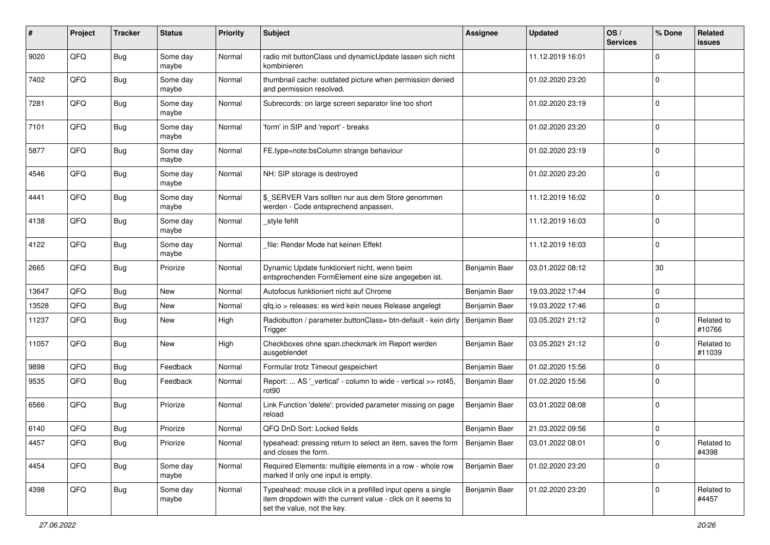| #     | Project | <b>Tracker</b> | <b>Status</b>     | <b>Priority</b> | <b>Subject</b>                                                                                                                                           | <b>Assignee</b> | <b>Updated</b>   | OS/<br><b>Services</b> | % Done         | Related<br><b>issues</b> |
|-------|---------|----------------|-------------------|-----------------|----------------------------------------------------------------------------------------------------------------------------------------------------------|-----------------|------------------|------------------------|----------------|--------------------------|
| 9020  | QFQ     | <b>Bug</b>     | Some day<br>maybe | Normal          | radio mit buttonClass und dynamicUpdate lassen sich nicht<br>kombinieren                                                                                 |                 | 11.12.2019 16:01 |                        | $\mathbf 0$    |                          |
| 7402  | QFQ     | Bug            | Some day<br>maybe | Normal          | thumbnail cache: outdated picture when permission denied<br>and permission resolved.                                                                     |                 | 01.02.2020 23:20 |                        | $\mathbf 0$    |                          |
| 7281  | QFQ     | <b>Bug</b>     | Some day<br>maybe | Normal          | Subrecords: on large screen separator line too short                                                                                                     |                 | 01.02.2020 23:19 |                        | $\mathbf 0$    |                          |
| 7101  | QFQ     | <b>Bug</b>     | Some day<br>maybe | Normal          | 'form' in SIP and 'report' - breaks                                                                                                                      |                 | 01.02.2020 23:20 |                        | $\mathbf 0$    |                          |
| 5877  | QFQ     | <b>Bug</b>     | Some day<br>maybe | Normal          | FE.type=note:bsColumn strange behaviour                                                                                                                  |                 | 01.02.2020 23:19 |                        | $\mathbf 0$    |                          |
| 4546  | QFQ     | <b>Bug</b>     | Some day<br>maybe | Normal          | NH: SIP storage is destroyed                                                                                                                             |                 | 01.02.2020 23:20 |                        | $\mathbf{0}$   |                          |
| 4441  | QFQ     | Bug            | Some day<br>maybe | Normal          | \$_SERVER Vars sollten nur aus dem Store genommen<br>werden - Code entsprechend anpassen.                                                                |                 | 11.12.2019 16:02 |                        | $\mathbf 0$    |                          |
| 4138  | QFQ     | Bug            | Some day<br>maybe | Normal          | _style fehlt                                                                                                                                             |                 | 11.12.2019 16:03 |                        | $\mathbf 0$    |                          |
| 4122  | QFQ     | Bug            | Some day<br>maybe | Normal          | file: Render Mode hat keinen Effekt                                                                                                                      |                 | 11.12.2019 16:03 |                        | $\mathbf 0$    |                          |
| 2665  | QFQ     | Bug            | Priorize          | Normal          | Dynamic Update funktioniert nicht, wenn beim<br>entsprechenden FormElement eine size angegeben ist.                                                      | Benjamin Baer   | 03.01.2022 08:12 |                        | 30             |                          |
| 13647 | QFQ     | Bug            | <b>New</b>        | Normal          | Autofocus funktioniert nicht auf Chrome                                                                                                                  | Benjamin Baer   | 19.03.2022 17:44 |                        | $\mathbf 0$    |                          |
| 13528 | QFQ     | <b>Bug</b>     | <b>New</b>        | Normal          | gfg.io > releases: es wird kein neues Release angelegt                                                                                                   | Benjamin Baer   | 19.03.2022 17:46 |                        | $\mathbf 0$    |                          |
| 11237 | QFQ     | Bug            | <b>New</b>        | High            | Radiobutton / parameter.buttonClass= btn-default - kein dirty<br>Trigger                                                                                 | Benjamin Baer   | 03.05.2021 21:12 |                        | $\mathbf 0$    | Related to<br>#10766     |
| 11057 | QFQ     | Bug            | New               | High            | Checkboxes ohne span.checkmark im Report werden<br>ausgeblendet                                                                                          | Benjamin Baer   | 03.05.2021 21:12 |                        | $\mathbf 0$    | Related to<br>#11039     |
| 9898  | QFQ     | <b>Bug</b>     | Feedback          | Normal          | Formular trotz Timeout gespeichert                                                                                                                       | Benjamin Baer   | 01.02.2020 15:56 |                        | 0              |                          |
| 9535  | QFQ     | Bug            | Feedback          | Normal          | Report:  AS '_vertical' - column to wide - vertical >> rot45,<br>rot90                                                                                   | Benjamin Baer   | 01.02.2020 15:56 |                        | $\overline{0}$ |                          |
| 6566  | QFQ     | Bug            | Priorize          | Normal          | Link Function 'delete': provided parameter missing on page<br>reload                                                                                     | Benjamin Baer   | 03.01.2022 08:08 |                        | $\overline{0}$ |                          |
| 6140  | QFQ     | Bug            | Priorize          | Normal          | QFQ DnD Sort: Locked fields                                                                                                                              | Benjamin Baer   | 21.03.2022 09:56 |                        | $\mathbf 0$    |                          |
| 4457  | QFG     | Bug            | Priorize          | Normal          | typeahead: pressing return to select an item, saves the form<br>and closes the form.                                                                     | Benjamin Baer   | 03.01.2022 08:01 |                        | $\mathbf 0$    | Related to<br>#4398      |
| 4454  | QFG     | <b>Bug</b>     | Some day<br>maybe | Normal          | Required Elements: multiple elements in a row - whole row<br>marked if only one input is empty.                                                          | Benjamin Baer   | 01.02.2020 23:20 |                        | $\mathbf 0$    |                          |
| 4398  | QFQ     | Bug            | Some day<br>maybe | Normal          | Typeahead: mouse click in a prefilled input opens a single<br>item dropdown with the current value - click on it seems to<br>set the value, not the key. | Benjamin Baer   | 01.02.2020 23:20 |                        | $\mathbf 0$    | Related to<br>#4457      |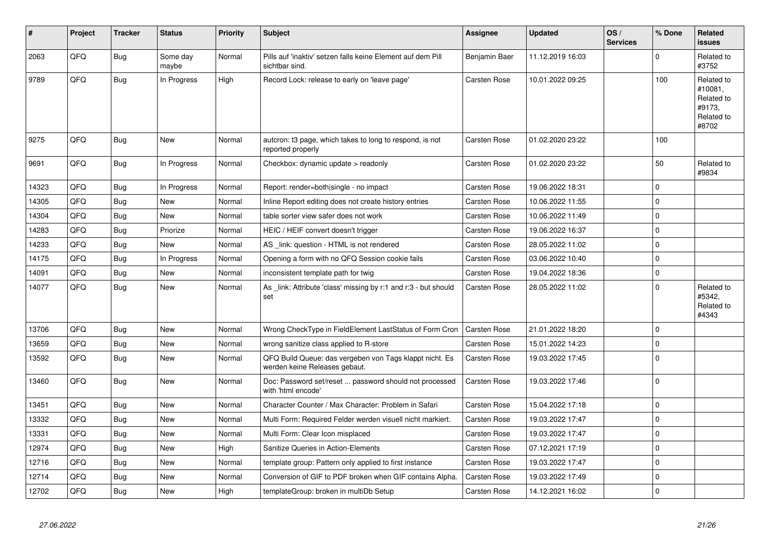| #     | Project | <b>Tracker</b> | <b>Status</b>     | <b>Priority</b> | <b>Subject</b>                                                                           | <b>Assignee</b>     | <b>Updated</b>   | OS/<br><b>Services</b> | % Done      | Related<br><b>issues</b>                                             |
|-------|---------|----------------|-------------------|-----------------|------------------------------------------------------------------------------------------|---------------------|------------------|------------------------|-------------|----------------------------------------------------------------------|
| 2063  | QFQ     | <b>Bug</b>     | Some day<br>maybe | Normal          | Pills auf 'inaktiv' setzen falls keine Element auf dem Pill<br>sichtbar sind.            | Benjamin Baer       | 11.12.2019 16:03 |                        | $\Omega$    | Related to<br>#3752                                                  |
| 9789  | QFQ     | <b>Bug</b>     | In Progress       | High            | Record Lock: release to early on 'leave page'                                            | Carsten Rose        | 10.01.2022 09:25 |                        | 100         | Related to<br>#10081,<br>Related to<br>#9173,<br>Related to<br>#8702 |
| 9275  | QFQ     | <b>Bug</b>     | <b>New</b>        | Normal          | autcron: t3 page, which takes to long to respond, is not<br>reported properly            | Carsten Rose        | 01.02.2020 23:22 |                        | 100         |                                                                      |
| 9691  | QFQ     | <b>Bug</b>     | In Progress       | Normal          | Checkbox: dynamic update > readonly                                                      | Carsten Rose        | 01.02.2020 23:22 |                        | 50          | Related to<br>#9834                                                  |
| 14323 | QFQ     | Bug            | In Progress       | Normal          | Report: render=both single - no impact                                                   | Carsten Rose        | 19.06.2022 18:31 |                        | $\mathbf 0$ |                                                                      |
| 14305 | QFQ     | <b>Bug</b>     | New               | Normal          | Inline Report editing does not create history entries                                    | Carsten Rose        | 10.06.2022 11:55 |                        | $\mathbf 0$ |                                                                      |
| 14304 | QFQ     | <b>Bug</b>     | <b>New</b>        | Normal          | table sorter view safer does not work                                                    | Carsten Rose        | 10.06.2022 11:49 |                        | $\mathbf 0$ |                                                                      |
| 14283 | QFQ     | <b>Bug</b>     | Priorize          | Normal          | HEIC / HEIF convert doesn't trigger                                                      | Carsten Rose        | 19.06.2022 16:37 |                        | $\mathbf 0$ |                                                                      |
| 14233 | QFQ     | Bug            | <b>New</b>        | Normal          | AS link: question - HTML is not rendered                                                 | Carsten Rose        | 28.05.2022 11:02 |                        | $\mathbf 0$ |                                                                      |
| 14175 | QFQ     | <b>Bug</b>     | In Progress       | Normal          | Opening a form with no QFQ Session cookie fails                                          | Carsten Rose        | 03.06.2022 10:40 |                        | $\mathbf 0$ |                                                                      |
| 14091 | QFQ     | <b>Bug</b>     | New               | Normal          | inconsistent template path for twig                                                      | Carsten Rose        | 19.04.2022 18:36 |                        | $\Omega$    |                                                                      |
| 14077 | QFQ     | Bug            | New               | Normal          | As _link: Attribute 'class' missing by r:1 and r:3 - but should<br>set                   | Carsten Rose        | 28.05.2022 11:02 |                        | $\mathbf 0$ | Related to<br>#5342,<br>Related to<br>#4343                          |
| 13706 | QFQ     | Bug            | New               | Normal          | Wrong CheckType in FieldElement LastStatus of Form Cron                                  | <b>Carsten Rose</b> | 21.01.2022 18:20 |                        | $\mathbf 0$ |                                                                      |
| 13659 | QFQ     | <b>Bug</b>     | New               | Normal          | wrong sanitize class applied to R-store                                                  | Carsten Rose        | 15.01.2022 14:23 |                        | $\mathbf 0$ |                                                                      |
| 13592 | QFQ     | <b>Bug</b>     | <b>New</b>        | Normal          | QFQ Build Queue: das vergeben von Tags klappt nicht. Es<br>werden keine Releases gebaut. | Carsten Rose        | 19.03.2022 17:45 |                        | $\mathbf 0$ |                                                                      |
| 13460 | QFQ     | <b>Bug</b>     | New               | Normal          | Doc: Password set/reset  password should not processed<br>with 'html encode'             | Carsten Rose        | 19.03.2022 17:46 |                        | $\mathbf 0$ |                                                                      |
| 13451 | QFQ     | <b>Bug</b>     | <b>New</b>        | Normal          | Character Counter / Max Character: Problem in Safari                                     | Carsten Rose        | 15.04.2022 17:18 |                        | $\mathbf 0$ |                                                                      |
| 13332 | QFQ     | Bug            | New               | Normal          | Multi Form: Required Felder werden visuell nicht markiert.                               | Carsten Rose        | 19.03.2022 17:47 |                        | $\mathbf 0$ |                                                                      |
| 13331 | QFQ     | Bug            | <b>New</b>        | Normal          | Multi Form: Clear Icon misplaced                                                         | Carsten Rose        | 19.03.2022 17:47 |                        | $\mathbf 0$ |                                                                      |
| 12974 | QFQ     | Bug            | <b>New</b>        | High            | Sanitize Queries in Action-Elements                                                      | Carsten Rose        | 07.12.2021 17:19 |                        | $\mathbf 0$ |                                                                      |
| 12716 | QFQ     | Bug            | <b>New</b>        | Normal          | template group: Pattern only applied to first instance                                   | Carsten Rose        | 19.03.2022 17:47 |                        | $\Omega$    |                                                                      |
| 12714 | QFQ     | <b>Bug</b>     | <b>New</b>        | Normal          | Conversion of GIF to PDF broken when GIF contains Alpha.                                 | Carsten Rose        | 19.03.2022 17:49 |                        | $\mathbf 0$ |                                                                      |
| 12702 | QFQ     | <b>Bug</b>     | New               | High            | templateGroup: broken in multiDb Setup                                                   | Carsten Rose        | 14.12.2021 16:02 |                        | $\Omega$    |                                                                      |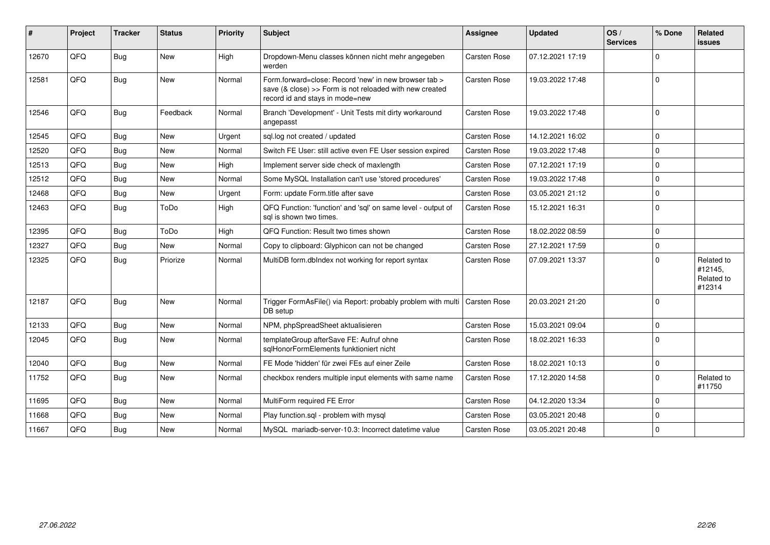| #     | Project | <b>Tracker</b> | <b>Status</b> | <b>Priority</b> | Subject                                                                                                                                             | Assignee            | <b>Updated</b>   | OS/<br><b>Services</b> | % Done         | Related<br><b>issues</b>                      |
|-------|---------|----------------|---------------|-----------------|-----------------------------------------------------------------------------------------------------------------------------------------------------|---------------------|------------------|------------------------|----------------|-----------------------------------------------|
| 12670 | QFQ     | Bug            | <b>New</b>    | High            | Dropdown-Menu classes können nicht mehr angegeben<br>werden                                                                                         | <b>Carsten Rose</b> | 07.12.2021 17:19 |                        | $\mathbf 0$    |                                               |
| 12581 | QFQ     | <b>Bug</b>     | New           | Normal          | Form.forward=close: Record 'new' in new browser tab ><br>save (& close) >> Form is not reloaded with new created<br>record id and stays in mode=new | Carsten Rose        | 19.03.2022 17:48 |                        | $\overline{0}$ |                                               |
| 12546 | QFQ     | Bug            | Feedback      | Normal          | Branch 'Development' - Unit Tests mit dirty workaround<br>angepasst                                                                                 | Carsten Rose        | 19.03.2022 17:48 |                        | $\overline{0}$ |                                               |
| 12545 | QFQ     | <b>Bug</b>     | <b>New</b>    | Urgent          | sql.log not created / updated                                                                                                                       | Carsten Rose        | 14.12.2021 16:02 |                        | $\mathbf 0$    |                                               |
| 12520 | QFQ     | <b>Bug</b>     | <b>New</b>    | Normal          | Switch FE User: still active even FE User session expired                                                                                           | <b>Carsten Rose</b> | 19.03.2022 17:48 |                        | $\mathbf 0$    |                                               |
| 12513 | QFQ     | Bug            | <b>New</b>    | High            | Implement server side check of maxlength                                                                                                            | Carsten Rose        | 07.12.2021 17:19 |                        | $\mathbf{0}$   |                                               |
| 12512 | QFQ     | <b>Bug</b>     | New           | Normal          | Some MySQL Installation can't use 'stored procedures'                                                                                               | Carsten Rose        | 19.03.2022 17:48 |                        | $\mathbf 0$    |                                               |
| 12468 | QFQ     | Bug            | New           | Urgent          | Form: update Form.title after save                                                                                                                  | Carsten Rose        | 03.05.2021 21:12 |                        | $\mathbf 0$    |                                               |
| 12463 | QFQ     | Bug            | ToDo          | High            | QFQ Function: 'function' and 'sql' on same level - output of<br>sal is shown two times.                                                             | Carsten Rose        | 15.12.2021 16:31 |                        | $\Omega$       |                                               |
| 12395 | QFQ     | Bug            | ToDo          | High            | QFQ Function: Result two times shown                                                                                                                | Carsten Rose        | 18.02.2022 08:59 |                        | $\mathsf 0$    |                                               |
| 12327 | QFQ     | Bug            | <b>New</b>    | Normal          | Copy to clipboard: Glyphicon can not be changed                                                                                                     | Carsten Rose        | 27.12.2021 17:59 |                        | $\mathbf 0$    |                                               |
| 12325 | QFQ     | Bug            | Priorize      | Normal          | MultiDB form.dblndex not working for report syntax                                                                                                  | Carsten Rose        | 07.09.2021 13:37 |                        | $\Omega$       | Related to<br>#12145,<br>Related to<br>#12314 |
| 12187 | QFQ     | Bug            | <b>New</b>    | Normal          | Trigger FormAsFile() via Report: probably problem with multi<br>DB setup                                                                            | <b>Carsten Rose</b> | 20.03.2021 21:20 |                        | $\Omega$       |                                               |
| 12133 | QFQ     | <b>Bug</b>     | <b>New</b>    | Normal          | NPM, phpSpreadSheet aktualisieren                                                                                                                   | Carsten Rose        | 15.03.2021 09:04 |                        | $\mathbf{0}$   |                                               |
| 12045 | QFQ     | Bug            | New           | Normal          | templateGroup afterSave FE: Aufruf ohne<br>sglHonorFormElements funktioniert nicht                                                                  | Carsten Rose        | 18.02.2021 16:33 |                        | $\mathbf 0$    |                                               |
| 12040 | QFQ     | <b>Bug</b>     | New           | Normal          | FE Mode 'hidden' für zwei FEs auf einer Zeile                                                                                                       | Carsten Rose        | 18.02.2021 10:13 |                        | $\mathbf 0$    |                                               |
| 11752 | QFQ     | Bug            | <b>New</b>    | Normal          | checkbox renders multiple input elements with same name                                                                                             | Carsten Rose        | 17.12.2020 14:58 |                        | $\Omega$       | Related to<br>#11750                          |
| 11695 | QFQ     | Bug            | <b>New</b>    | Normal          | MultiForm required FE Error                                                                                                                         | Carsten Rose        | 04.12.2020 13:34 |                        | $\mathbf 0$    |                                               |
| 11668 | QFQ     | <b>Bug</b>     | <b>New</b>    | Normal          | Play function.sql - problem with mysql                                                                                                              | Carsten Rose        | 03.05.2021 20:48 |                        | $\mathbf 0$    |                                               |
| 11667 | QFQ     | Bug            | <b>New</b>    | Normal          | MySQL mariadb-server-10.3: Incorrect datetime value                                                                                                 | Carsten Rose        | 03.05.2021 20:48 |                        | $\Omega$       |                                               |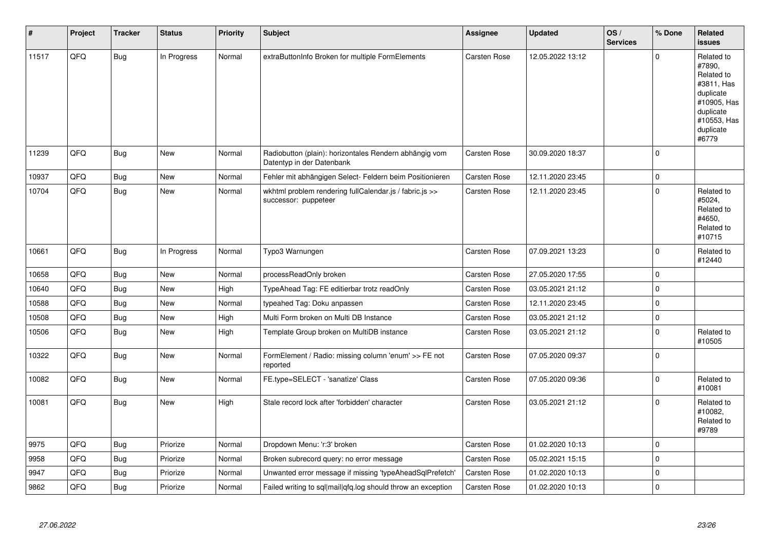| #     | Project | <b>Tracker</b> | <b>Status</b> | <b>Priority</b> | <b>Subject</b>                                                                      | Assignee            | <b>Updated</b>   | OS/<br><b>Services</b> | % Done      | Related<br><b>issues</b>                                                                                                       |
|-------|---------|----------------|---------------|-----------------|-------------------------------------------------------------------------------------|---------------------|------------------|------------------------|-------------|--------------------------------------------------------------------------------------------------------------------------------|
| 11517 | QFQ     | Bug            | In Progress   | Normal          | extraButtonInfo Broken for multiple FormElements                                    | Carsten Rose        | 12.05.2022 13:12 |                        | $\mathbf 0$ | Related to<br>#7890,<br>Related to<br>#3811, Has<br>duplicate<br>#10905, Has<br>duplicate<br>#10553, Has<br>duplicate<br>#6779 |
| 11239 | QFQ     | Bug            | <b>New</b>    | Normal          | Radiobutton (plain): horizontales Rendern abhängig vom<br>Datentyp in der Datenbank | Carsten Rose        | 30.09.2020 18:37 |                        | $\mathbf 0$ |                                                                                                                                |
| 10937 | QFQ     | <b>Bug</b>     | <b>New</b>    | Normal          | Fehler mit abhängigen Select- Feldern beim Positionieren                            | Carsten Rose        | 12.11.2020 23:45 |                        | $\mathbf 0$ |                                                                                                                                |
| 10704 | QFQ     | <b>Bug</b>     | New           | Normal          | wkhtml problem rendering fullCalendar.js / fabric.js >><br>successor: puppeteer     | Carsten Rose        | 12.11.2020 23:45 |                        | $\pmb{0}$   | Related to<br>#5024,<br>Related to<br>#4650,<br>Related to<br>#10715                                                           |
| 10661 | QFQ     | Bug            | In Progress   | Normal          | Typo3 Warnungen                                                                     | <b>Carsten Rose</b> | 07.09.2021 13:23 |                        | $\pmb{0}$   | Related to<br>#12440                                                                                                           |
| 10658 | QFQ     | <b>Bug</b>     | <b>New</b>    | Normal          | processReadOnly broken                                                              | Carsten Rose        | 27.05.2020 17:55 |                        | $\mathbf 0$ |                                                                                                                                |
| 10640 | QFQ     | <b>Bug</b>     | New           | High            | TypeAhead Tag: FE editierbar trotz readOnly                                         | Carsten Rose        | 03.05.2021 21:12 |                        | $\pmb{0}$   |                                                                                                                                |
| 10588 | QFQ     | <b>Bug</b>     | New           | Normal          | typeahed Tag: Doku anpassen                                                         | Carsten Rose        | 12.11.2020 23:45 |                        | $\pmb{0}$   |                                                                                                                                |
| 10508 | QFQ     | <b>Bug</b>     | <b>New</b>    | High            | Multi Form broken on Multi DB Instance                                              | Carsten Rose        | 03.05.2021 21:12 |                        | $\pmb{0}$   |                                                                                                                                |
| 10506 | QFQ     | <b>Bug</b>     | New           | High            | Template Group broken on MultiDB instance                                           | Carsten Rose        | 03.05.2021 21:12 |                        | $\mathbf 0$ | Related to<br>#10505                                                                                                           |
| 10322 | QFQ     | Bug            | <b>New</b>    | Normal          | FormElement / Radio: missing column 'enum' >> FE not<br>reported                    | Carsten Rose        | 07.05.2020 09:37 |                        | $\mathbf 0$ |                                                                                                                                |
| 10082 | QFQ     | <b>Bug</b>     | New           | Normal          | FE.type=SELECT - 'sanatize' Class                                                   | Carsten Rose        | 07.05.2020 09:36 |                        | $\mathbf 0$ | Related to<br>#10081                                                                                                           |
| 10081 | QFQ     | Bug            | New           | High            | Stale record lock after 'forbidden' character                                       | Carsten Rose        | 03.05.2021 21:12 |                        | $\mathbf 0$ | Related to<br>#10082,<br>Related to<br>#9789                                                                                   |
| 9975  | QFQ     | <b>Bug</b>     | Priorize      | Normal          | Dropdown Menu: 'r:3' broken                                                         | Carsten Rose        | 01.02.2020 10:13 |                        | $\pmb{0}$   |                                                                                                                                |
| 9958  | QFQ     | <b>Bug</b>     | Priorize      | Normal          | Broken subrecord query: no error message                                            | <b>Carsten Rose</b> | 05.02.2021 15:15 |                        | $\mathbf 0$ |                                                                                                                                |
| 9947  | QFQ     | <b>Bug</b>     | Priorize      | Normal          | Unwanted error message if missing 'typeAheadSqlPrefetch'                            | Carsten Rose        | 01.02.2020 10:13 |                        | $\mathbf 0$ |                                                                                                                                |
| 9862  | QFQ     | <b>Bug</b>     | Priorize      | Normal          | Failed writing to sql mail qfq.log should throw an exception                        | Carsten Rose        | 01.02.2020 10:13 |                        | $\mathbf 0$ |                                                                                                                                |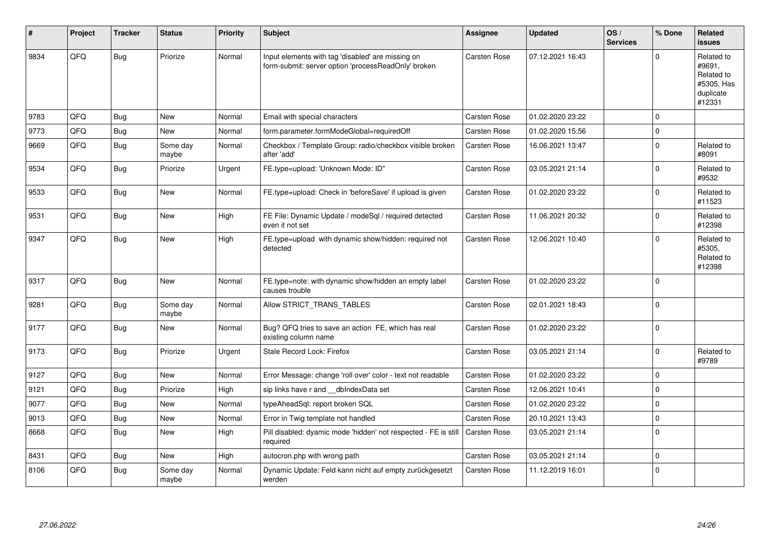| #    | Project | <b>Tracker</b> | <b>Status</b>     | <b>Priority</b> | <b>Subject</b>                                                                                           | Assignee            | <b>Updated</b>   | OS/<br><b>Services</b> | % Done      | Related<br><b>issues</b>                                                |
|------|---------|----------------|-------------------|-----------------|----------------------------------------------------------------------------------------------------------|---------------------|------------------|------------------------|-------------|-------------------------------------------------------------------------|
| 9834 | QFQ     | Bug            | Priorize          | Normal          | Input elements with tag 'disabled' are missing on<br>form-submit: server option 'processReadOnly' broken | Carsten Rose        | 07.12.2021 16:43 |                        | $\Omega$    | Related to<br>#9691,<br>Related to<br>#5305, Has<br>duplicate<br>#12331 |
| 9783 | QFQ     | Bug            | New               | Normal          | Email with special characters                                                                            | Carsten Rose        | 01.02.2020 23:22 |                        | $\Omega$    |                                                                         |
| 9773 | QFQ     | Bug            | <b>New</b>        | Normal          | form.parameter.formModeGlobal=requiredOff                                                                | Carsten Rose        | 01.02.2020 15:56 |                        | $\Omega$    |                                                                         |
| 9669 | QFQ     | Bug            | Some day<br>maybe | Normal          | Checkbox / Template Group: radio/checkbox visible broken<br>after 'add'                                  | Carsten Rose        | 16.06.2021 13:47 |                        | $\mathbf 0$ | Related to<br>#8091                                                     |
| 9534 | QFQ     | <b>Bug</b>     | Priorize          | Urgent          | FE.type=upload: 'Unknown Mode: ID"                                                                       | Carsten Rose        | 03.05.2021 21:14 |                        | $\Omega$    | Related to<br>#9532                                                     |
| 9533 | QFQ     | Bug            | <b>New</b>        | Normal          | FE.type=upload: Check in 'beforeSave' if upload is given                                                 | Carsten Rose        | 01.02.2020 23:22 |                        | $\Omega$    | Related to<br>#11523                                                    |
| 9531 | QFQ     | <b>Bug</b>     | <b>New</b>        | High            | FE File: Dynamic Update / modeSql / required detected<br>even it not set                                 | Carsten Rose        | 11.06.2021 20:32 |                        | $\Omega$    | Related to<br>#12398                                                    |
| 9347 | QFQ     | <b>Bug</b>     | <b>New</b>        | High            | FE.type=upload with dynamic show/hidden: required not<br>detected                                        | Carsten Rose        | 12.06.2021 10:40 |                        | $\Omega$    | Related to<br>#5305,<br>Related to<br>#12398                            |
| 9317 | QFQ     | Bug            | <b>New</b>        | Normal          | FE.type=note: with dynamic show/hidden an empty label<br>causes trouble                                  | Carsten Rose        | 01.02.2020 23:22 |                        | $\Omega$    |                                                                         |
| 9281 | QFQ     | Bug            | Some day<br>maybe | Normal          | Allow STRICT_TRANS_TABLES                                                                                | Carsten Rose        | 02.01.2021 18:43 |                        | $\Omega$    |                                                                         |
| 9177 | QFQ     | <b>Bug</b>     | New               | Normal          | Bug? QFQ tries to save an action FE, which has real<br>existing column name                              | Carsten Rose        | 01.02.2020 23:22 |                        | $\Omega$    |                                                                         |
| 9173 | QFQ     | <b>Bug</b>     | Priorize          | Urgent          | Stale Record Lock: Firefox                                                                               | Carsten Rose        | 03.05.2021 21:14 |                        | $\Omega$    | Related to<br>#9789                                                     |
| 9127 | QFQ     | <b>Bug</b>     | <b>New</b>        | Normal          | Error Message: change 'roll over' color - text not readable                                              | Carsten Rose        | 01.02.2020 23:22 |                        | $\Omega$    |                                                                         |
| 9121 | QFQ     | <b>Bug</b>     | Priorize          | High            | sip links have r and dblndexData set                                                                     | Carsten Rose        | 12.06.2021 10:41 |                        | $\Omega$    |                                                                         |
| 9077 | QFQ     | <b>Bug</b>     | New               | Normal          | typeAheadSql: report broken SQL                                                                          | Carsten Rose        | 01.02.2020 23:22 |                        | $\Omega$    |                                                                         |
| 9013 | QFQ     | <b>Bug</b>     | <b>New</b>        | Normal          | Error in Twig template not handled                                                                       | <b>Carsten Rose</b> | 20.10.2021 13:43 |                        | $\mathbf 0$ |                                                                         |
| 8668 | QFQ     | <b>Bug</b>     | <b>New</b>        | High            | Pill disabled: dyamic mode 'hidden' not respected - FE is still<br>required                              | <b>Carsten Rose</b> | 03.05.2021 21:14 |                        | $\Omega$    |                                                                         |
| 8431 | QFQ     | Bug            | New               | High            | autocron.php with wrong path                                                                             | Carsten Rose        | 03.05.2021 21:14 |                        | $\Omega$    |                                                                         |
| 8106 | QFQ     | <b>Bug</b>     | Some day<br>maybe | Normal          | Dynamic Update: Feld kann nicht auf empty zurückgesetzt<br>werden                                        | Carsten Rose        | 11.12.2019 16:01 |                        | $\Omega$    |                                                                         |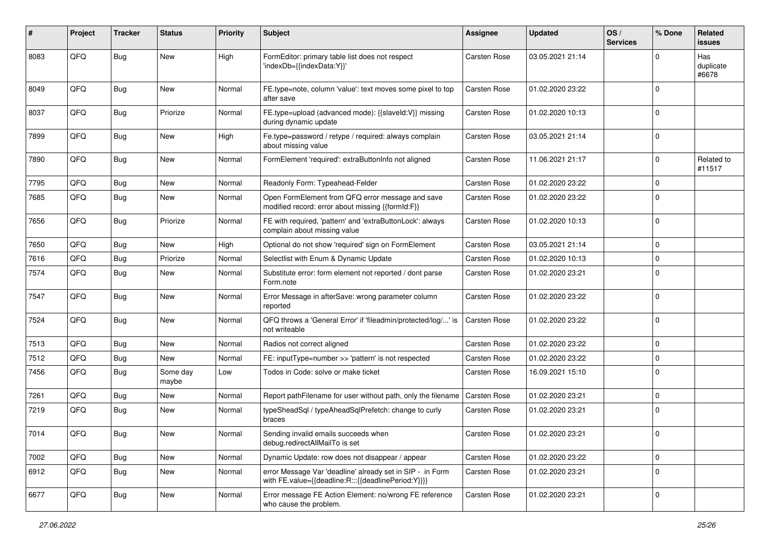| #    | Project | <b>Tracker</b> | <b>Status</b>     | <b>Priority</b> | <b>Subject</b>                                                                                                   | <b>Assignee</b> | <b>Updated</b>   | OS/<br><b>Services</b> | % Done         | Related<br><b>issues</b>  |
|------|---------|----------------|-------------------|-----------------|------------------------------------------------------------------------------------------------------------------|-----------------|------------------|------------------------|----------------|---------------------------|
| 8083 | QFQ     | <b>Bug</b>     | <b>New</b>        | High            | FormEditor: primary table list does not respect<br>'indexDb={{indexData:Y}}'                                     | Carsten Rose    | 03.05.2021 21:14 |                        | $\Omega$       | Has<br>duplicate<br>#6678 |
| 8049 | QFQ     | <b>Bug</b>     | New               | Normal          | FE.type=note, column 'value': text moves some pixel to top<br>after save                                         | Carsten Rose    | 01.02.2020 23:22 |                        | $\overline{0}$ |                           |
| 8037 | QFQ     | Bug            | Priorize          | Normal          | FE.type=upload (advanced mode): {{slaveId:V}} missing<br>during dynamic update                                   | Carsten Rose    | 01.02.2020 10:13 |                        | $\mathbf 0$    |                           |
| 7899 | QFQ     | Bug            | <b>New</b>        | High            | Fe.type=password / retype / required: always complain<br>about missing value                                     | Carsten Rose    | 03.05.2021 21:14 |                        | $\mathbf 0$    |                           |
| 7890 | QFQ     | <b>Bug</b>     | New               | Normal          | FormElement 'required': extraButtonInfo not aligned                                                              | Carsten Rose    | 11.06.2021 21:17 |                        | $\mathbf 0$    | Related to<br>#11517      |
| 7795 | QFQ     | <b>Bug</b>     | <b>New</b>        | Normal          | Readonly Form: Typeahead-Felder                                                                                  | Carsten Rose    | 01.02.2020 23:22 |                        | $\mathbf 0$    |                           |
| 7685 | QFQ     | <b>Bug</b>     | <b>New</b>        | Normal          | Open FormElement from QFQ error message and save<br>modified record: error about missing {{formId:F}}            | Carsten Rose    | 01.02.2020 23:22 |                        | $\Omega$       |                           |
| 7656 | QFQ     | <b>Bug</b>     | Priorize          | Normal          | FE with required, 'pattern' and 'extraButtonLock': always<br>complain about missing value                        | Carsten Rose    | 01.02.2020 10:13 |                        | $\mathbf 0$    |                           |
| 7650 | QFQ     | <b>Bug</b>     | New               | High            | Optional do not show 'required' sign on FormElement                                                              | Carsten Rose    | 03.05.2021 21:14 |                        | $\mathbf 0$    |                           |
| 7616 | QFQ     | <b>Bug</b>     | Priorize          | Normal          | Selectlist with Enum & Dynamic Update                                                                            | Carsten Rose    | 01.02.2020 10:13 |                        | $\mathbf 0$    |                           |
| 7574 | QFQ     | Bug            | <b>New</b>        | Normal          | Substitute error: form element not reported / dont parse<br>Form.note                                            | Carsten Rose    | 01.02.2020 23:21 |                        | $\mathbf 0$    |                           |
| 7547 | QFQ     | <b>Bug</b>     | New               | Normal          | Error Message in afterSave: wrong parameter column<br>reported                                                   | Carsten Rose    | 01.02.2020 23:22 |                        | $\pmb{0}$      |                           |
| 7524 | QFQ     | <b>Bug</b>     | <b>New</b>        | Normal          | QFQ throws a 'General Error' if 'fileadmin/protected/log/' is<br>not writeable                                   | Carsten Rose    | 01.02.2020 23:22 |                        | $\mathbf 0$    |                           |
| 7513 | QFQ     | <b>Bug</b>     | <b>New</b>        | Normal          | Radios not correct aligned                                                                                       | Carsten Rose    | 01.02.2020 23:22 |                        | $\mathbf 0$    |                           |
| 7512 | QFQ     | <b>Bug</b>     | New               | Normal          | FE: inputType=number >> 'pattern' is not respected                                                               | Carsten Rose    | 01.02.2020 23:22 |                        | $\mathbf 0$    |                           |
| 7456 | QFQ     | <b>Bug</b>     | Some day<br>maybe | Low             | Todos in Code: solve or make ticket                                                                              | Carsten Rose    | 16.09.2021 15:10 |                        | $\mathbf 0$    |                           |
| 7261 | QFQ     | <b>Bug</b>     | New               | Normal          | Report pathFilename for user without path, only the filename                                                     | Carsten Rose    | 01.02.2020 23:21 |                        | $\mathbf 0$    |                           |
| 7219 | QFQ     | Bug            | New               | Normal          | typeSheadSql / typeAheadSqlPrefetch: change to curly<br>braces                                                   | Carsten Rose    | 01.02.2020 23:21 |                        | $\overline{0}$ |                           |
| 7014 | QFQ     | <b>Bug</b>     | New               | Normal          | Sending invalid emails succeeds when<br>debug.redirectAllMailTo is set                                           | Carsten Rose    | 01.02.2020 23:21 |                        | $\mathbf{0}$   |                           |
| 7002 | QFQ     | <b>Bug</b>     | New               | Normal          | Dynamic Update: row does not disappear / appear                                                                  | Carsten Rose    | 01.02.2020 23:22 |                        | $\mathbf 0$    |                           |
| 6912 | QFQ     | Bug            | New               | Normal          | error Message Var 'deadline' already set in SIP - in Form<br>with FE.value={{deadline:R:::{{deadlinePeriod:Y}}}} | Carsten Rose    | 01.02.2020 23:21 |                        | $\mathbf 0$    |                           |
| 6677 | QFQ     | Bug            | New               | Normal          | Error message FE Action Element: no/wrong FE reference<br>who cause the problem.                                 | Carsten Rose    | 01.02.2020 23:21 |                        | $\mathbf 0$    |                           |